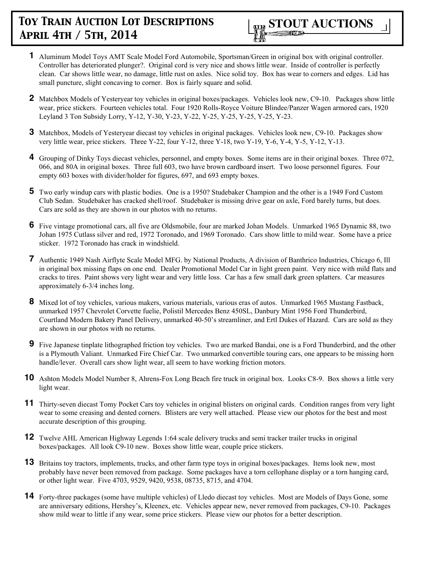

- **1** Aluminum Model Toys AMT Scale Model Ford Automobile, Sportsman/Green in original box with original controller. Controller has deteriorated plunger?. Original cord is very nice and shows little wear. Inside of controller is perfectly clean. Car shows little wear, no damage, little rust on axles. Nice solid toy. Box has wear to corners and edges. Lid has small puncture, slight concaving to corner. Box is fairly square and solid.
- **2** Matchbox Models of Yesteryear toy vehicles in original boxes/packages. Vehicles look new, C9-10. Packages show little wear, price stickers. Fourteen vehicles total. Four 1920 Rolls-Royce Voiture Blindee/Panzer Wagen armored cars, 1920 Leyland 3 Ton Subsidy Lorry, Y-12, Y-30, Y-23, Y-22, Y-25, Y-25, Y-25, Y-25, Y-23.
- **3** Matchbox, Models of Yesteryear diecast toy vehicles in original packages. Vehicles look new, C9-10. Packages show very little wear, price stickers. Three Y-22, four Y-12, three Y-18, two Y-19, Y-6, Y-4, Y-5, Y-12, Y-13.
- **4** Grouping of Dinky Toys diecast vehicles, personnel, and empty boxes. Some items are in their original boxes. Three 072, 066, and 80A in original boxes. Three full 603, two have brown cardboard insert. Two loose personnel figures. Four empty 603 boxes with divider/holder for figures, 697, and 693 empty boxes.
- **5** Two early windup cars with plastic bodies. One is a 1950? Studebaker Champion and the other is a 1949 Ford Custom Club Sedan. Studebaker has cracked shell/roof. Studebaker is missing drive gear on axle, Ford barely turns, but does. Cars are sold as they are shown in our photos with no returns.
- **6** Five vintage promotional cars, all five are Oldsmobile, four are marked Johan Models. Unmarked 1965 Dynamic 88, two Johan 1975 Cutlass silver and red, 1972 Toronado, and 1969 Toronado. Cars show little to mild wear. Some have a price sticker. 1972 Toronado has crack in windshield.
- **7** Authentic 1949 Nash Airflyte Scale Model MFG. by National Products, A division of Banthrico Industries, Chicago 6, Ill in original box missing flaps on one end. Dealer Promotional Model Car in light green paint. Very nice with mild flats and cracks to tires. Paint shows very light wear and very little loss. Car has a few small dark green splatters. Car measures approximately 6-3/4 inches long.
- **8** Mixed lot of toy vehicles, various makers, various materials, various eras of autos. Unmarked 1965 Mustang Fastback, unmarked 1957 Chevrolet Corvette fuelie, Polistil Mercedes Benz 450SL, Danbury Mint 1956 Ford Thunderbird, Courtland Modern Bakery Panel Delivery, unmarked 40-50's streamliner, and Ertl Dukes of Hazard. Cars are sold as they are shown in our photos with no returns.
- **9** Five Japanese tinplate lithographed friction toy vehicles. Two are marked Bandai, one is a Ford Thunderbird, and the other is a Plymouth Valiant. Unmarked Fire Chief Car. Two unmarked convertible touring cars, one appears to be missing horn handle/lever. Overall cars show light wear, all seem to have working friction motors.
- **10** Ashton Models Model Number 8, Ahrens-Fox Long Beach fire truck in original box. Looks C8-9. Box shows a little very light wear.
- **11** Thirty-seven diecast Tomy Pocket Cars toy vehicles in original blisters on original cards. Condition ranges from very light wear to some creasing and dented corners. Blisters are very well attached. Please view our photos for the best and most accurate description of this grouping.
- **12** Twelve AHL American Highway Legends 1:64 scale delivery trucks and semi tracker trailer trucks in original boxes/packages. All look C9-10 new. Boxes show little wear, couple price stickers.
- **13** Britains toy tractors, implements, trucks, and other farm type toys in original boxes/packages. Items look new, most probably have never been removed from package. Some packages have a torn cellophane display or a torn hanging card, or other light wear. Five 4703, 9529, 9420, 9538, 08735, 8715, and 4704.
- **14** Forty-three packages (some have multiple vehicles) of Lledo diecast toy vehicles. Most are Models of Days Gone, some are anniversary editions, Hershey's, Kleenex, etc. Vehicles appear new, never removed from packages, C9-10. Packages show mild wear to little if any wear, some price stickers. Please view our photos for a better description.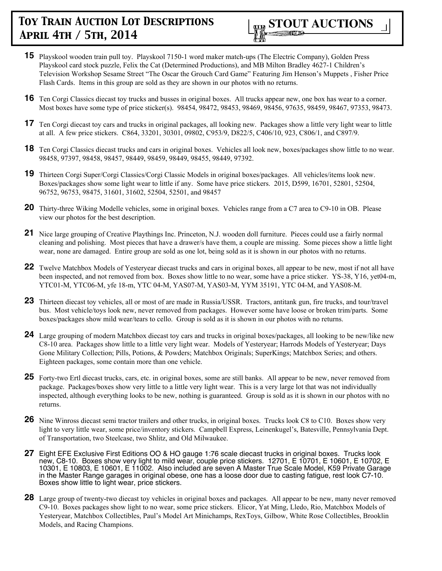

- **15** Playskool wooden train pull toy. Playskool 7150-1 word maker match-ups (The Electric Company), Golden Press Playskool card stock puzzle, Felix the Cat (Determined Productions), and MB Milton Bradley 4627-1 Children's Television Workshop Sesame Street "The Oscar the Grouch Card Game" Featuring Jim Henson's Muppets , Fisher Price Flash Cards. Items in this group are sold as they are shown in our photos with no returns.
- **16** Ten Corgi Classics diecast toy trucks and busses in original boxes. All trucks appear new, one box has wear to a corner. Most boxes have some type of price sticker(s). 98454, 98472, 98453, 98469, 98456, 97635, 98459, 98467, 97353, 98473.
- 17 Ten Corgi diecast toy cars and trucks in original packages, all looking new. Packages show a little very light wear to little at all. A few price stickers. C864, 33201, 30301, 09802, C953/9, D822/5, C406/10, 923, C806/1, and C897/9.
- **18** Ten Corgi Classics diecast trucks and cars in original boxes. Vehicles all look new, boxes/packages show little to no wear. 98458, 97397, 98458, 98457, 98449, 98459, 98449, 98455, 98449, 97392.
- **19** Thirteen Corgi Super/Corgi Classics/Corgi Classic Models in original boxes/packages. All vehicles/items look new. Boxes/packages show some light wear to little if any. Some have price stickers. 2015, D599, 16701, 52801, 52504, 96752, 96753, 98475, 31601, 31602, 52504, 52501, and 98457
- **20** Thirty-three Wiking Modelle vehicles, some in original boxes. Vehicles range from a C7 area to C9-10 in OB. Please view our photos for the best description.
- **21** Nice large grouping of Creative Playthings Inc. Princeton, N.J. wooden doll furniture. Pieces could use a fairly normal cleaning and polishing. Most pieces that have a drawer/s have them, a couple are missing. Some pieces show a little light wear, none are damaged. Entire group are sold as one lot, being sold as it is shown in our photos with no returns.
- **22** Twelve Matchbox Models of Yesteryear diecast trucks and cars in original boxes, all appear to be new, most if not all have been inspected, and not removed from box. Boxes show little to no wear, some have a price sticker. YS-38, Y16, yet04-m, YTC01-M, YTC06-M, yfe 18-m, YTC 04-M, YAS07-M, YAS03-M, YYM 35191, YTC 04-M, and YAS08-M.
- **23** Thirteen diecast toy vehicles, all or most of are made in Russia/USSR. Tractors, antitank gun, fire trucks, and tour/travel bus. Most vehicle/toys look new, never removed from packages. However some have loose or broken trim/parts. Some boxes/packages show mild wear/tears to cello. Group is sold as it is shown in our photos with no returns.
- **24** Large grouping of modern Matchbox diecast toy cars and trucks in original boxes/packages, all looking to be new/like new C8-10 area. Packages show little to a little very light wear. Models of Yesteryear; Harrods Models of Yesteryear; Days Gone Military Collection; Pills, Potions, & Powders; Matchbox Originals; SuperKings; Matchbox Series; and others. Eighteen packages, some contain more than one vehicle.
- **25** Forty-two Ertl diecast trucks, cars, etc. in original boxes, some are still banks. All appear to be new, never removed from package. Packages/boxes show very little to a little very light wear. This is a very large lot that was not individually inspected, although everything looks to be new, nothing is guaranteed. Group is sold as it is shown in our photos with no returns.
- **26** Nine Winross diecast semi tractor trailers and other trucks, in original boxes. Trucks look C8 to C10. Boxes show very light to very little wear, some price/inventory stickers. Campbell Express, Leinenkugel's, Batesville, Pennsylvania Dept. of Transportation, two Steelcase, two Shlitz, and Old Milwaukee.
- **27** Eight EFE Exclusive First Editions OO & HO gauge 1:76 scale diecast trucks in original boxes. Trucks look new, C8-10. Boxes show very light to mild wear, couple price stickers. 12701, E 10701, E 10601, E 10702, E 10301, E 10803, E 10601, E 11002. Also included are seven A Master True Scale Model, K59 Private Garage in the Master Range garages in original obese, one has a loose door due to casting fatigue, rest look C7-10. Boxes show little to light wear, price stickers.
- **28** Large group of twenty-two diecast toy vehicles in original boxes and packages. All appear to be new, many never removed C9-10. Boxes packages show light to no wear, some price stickers. Elicor, Yat Ming, Lledo, Rio, Matchbox Models of Yesteryear, Matchbox Collectibles, Paul's Model Art Minichamps, RexToys, Gilbow, White Rose Collectibles, Brooklin Models, and Racing Champions.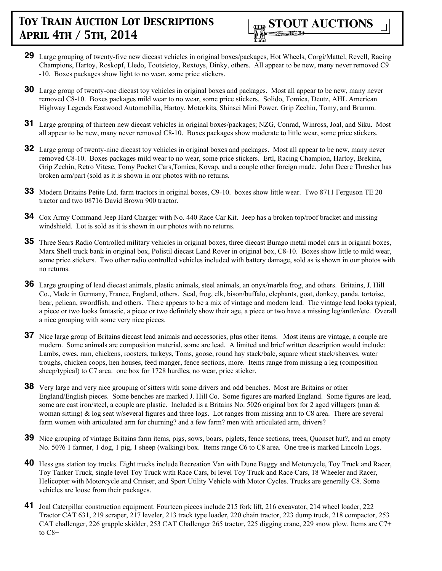

- **29** Large grouping of twenty-five new diecast vehicles in original boxes/packages, Hot Wheels, Corgi/Mattel, Revell, Racing Champions, Hartoy, Roskopf, Lledo, Tootsietoy, Rextoys, Dinky, others. All appear to be new, many never removed C9 -10. Boxes packages show light to no wear, some price stickers.
- **30** Large group of twenty-one diecast toy vehicles in original boxes and packages. Most all appear to be new, many never removed C8-10. Boxes packages mild wear to no wear, some price stickers. Solido, Tomica, Deutz, AHL American Highway Legends Eastwood Automobilia, Hartoy, Motorkits, Shinsei Mini Power, Grip Zechin, Tomy, and Brumm.
- **31** Large grouping of thirteen new diecast vehicles in original boxes/packages; NZG, Conrad, Winross, Joal, and Siku. Most all appear to be new, many never removed C8-10. Boxes packages show moderate to little wear, some price stickers.
- **32** Large group of twenty-nine diecast toy vehicles in original boxes and packages. Most all appear to be new, many never removed C8-10. Boxes packages mild wear to no wear, some price stickers. Ertl, Racing Champion, Hartoy, Brekina, Grip Zechin, Retro Vitese, Tomy Pocket Cars,Tomica, Kovap, and a couple other foreign made. John Deere Thresher has broken arm/part (sold as it is shown in our photos with no returns.
- **33** Modern Britains Petite Ltd. farm tractors in original boxes, C9-10. boxes show little wear. Two 8711 Ferguson TE 20 tractor and two 08716 David Brown 900 tractor.
- **34** Cox Army Command Jeep Hard Charger with No. 440 Race Car Kit. Jeep has a broken top/roof bracket and missing windshield. Lot is sold as it is shown in our photos with no returns.
- **35** Three Sears Radio Controlled military vehicles in original boxes, three diecast Burago metal model cars in original boxes, Marx Shell truck bank in original box, Polistil diecast Land Rover in original box, C8-10. Boxes show little to mild wear, some price stickers. Two other radio controlled vehicles included with battery damage, sold as is shown in our photos with no returns.
- **36** Large grouping of lead diecast animals, plastic animals, steel animals, an onyx/marble frog, and others. Britains, J. Hill Co., Made in Germany, France, England, others. Seal, frog, elk, bison/buffalo, elephants, goat, donkey, panda, tortoise, bear, pelican, swordfish, and others. There appears to be a mix of vintage and modern lead. The vintage lead looks typical, a piece or two looks fantastic, a piece or two definitely show their age, a piece or two have a missing leg/antler/etc. Overall a nice grouping with some very nice pieces.
- **37** Nice large group of Britains diecast lead animals and accessories, plus other items. Most items are vintage, a couple are modern. Some animals are composition material, some are lead. A limited and brief written description would include: Lambs, ewes, ram, chickens, roosters, turkeys, Toms, goose, round hay stack/bale, square wheat stack/sheaves, water troughs, chicken coops, hen houses, feed manger, fence sections, more. Items range from missing a leg (composition sheep/typical) to C7 area. one box for 1728 hurdles, no wear, price sticker.
- **38** Very large and very nice grouping of sitters with some drivers and odd benches. Most are Britains or other England/English pieces. Some benches are marked J. Hill Co. Some figures are marked England. Some figures are lead, some are cast iron/steel, a couple are plastic. Included is a Britains No. 5026 original box for 2 aged villagers (man & woman sitting) & log seat w/several figures and three logs. Lot ranges from missing arm to C8 area. There are several farm women with articulated arm for churning? and a few farm? men with articulated arm, drivers?
- **39** Nice grouping of vintage Britains farm items, pigs, sows, boars, piglets, fence sections, trees, Quonset hut?, and an empty No. 50?6 1 farmer, 1 dog, 1 pig, 1 sheep (walking) box. Items range C6 to C8 area. One tree is marked Lincoln Logs.
- **40** Hess gas station toy trucks. Eight trucks include Recreation Van with Dune Buggy and Motorcycle, Toy Truck and Racer, Toy Tanker Truck, single level Toy Truck with Race Cars, bi level Toy Truck and Race Cars, 18 Wheeler and Racer, Helicopter with Motorcycle and Cruiser, and Sport Utility Vehicle with Motor Cycles. Trucks are generally C8. Some vehicles are loose from their packages.
- **41** Joal Caterpillar construction equipment. Fourteen pieces include 215 fork lift, 216 excavator, 214 wheel loader, 222 Tractor CAT 631, 219 scraper, 217 leveler, 213 track type loader, 220 chain tractor, 223 dump truck, 218 compactor, 253 CAT challenger, 226 grapple skidder, 253 CAT Challenger 265 tractor, 225 digging crane, 229 snow plow. Items are C7+ to C8+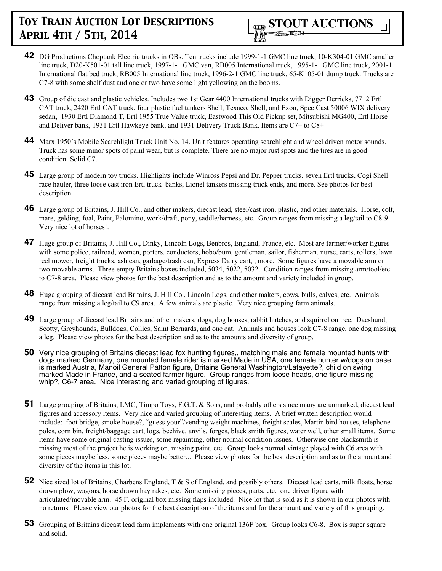

- **42** DG Productions Choptank Electric trucks in OBs. Ten trucks include 1999-1-1 GMC line truck, 10-K304-01 GMC smaller line truck, D20-K501-01 tall line truck, 1997-1-1 GMC van, RB005 International truck, 1995-1-1 GMC line truck, 2001-1 International flat bed truck, RB005 International line truck, 1996-2-1 GMC line truck, 65-K105-01 dump truck. Trucks are C7-8 with some shelf dust and one or two have some light yellowing on the booms.
- **43** Group of die cast and plastic vehicles. Includes two 1st Gear 4400 International trucks with Digger Derricks, 7712 Ertl CAT truck, 2420 Ertl CAT truck, four plastic fuel tankers Shell, Texaco, Shell, and Exon, Spec Cast 50006 WIX delivery sedan, 1930 Ertl Diamond T, Ertl 1955 True Value truck, Eastwood This Old Pickup set, Mitsubishi MG400, Ertl Horse and Deliver bank, 1931 Ertl Hawkeye bank, and 1931 Delivery Truck Bank. Items are C7+ to C8+
- **44** Marx 1950's Mobile Searchlight Truck Unit No. 14. Unit features operating searchlight and wheel driven motor sounds. Truck has some minor spots of paint wear, but is complete. There are no major rust spots and the tires are in good condition. Solid C7.
- **45** Large group of modern toy trucks. Highlights include Winross Pepsi and Dr. Pepper trucks, seven Ertl trucks, Cogi Shell race hauler, three loose cast iron Ertl truck banks, Lionel tankers missing truck ends, and more. See photos for best description.
- **46** Large group of Britains, J. Hill Co., and other makers, diecast lead, steel/cast iron, plastic, and other materials. Horse, colt, mare, gelding, foal, Paint, Palomino, work/draft, pony, saddle/harness, etc. Group ranges from missing a leg/tail to C8-9. Very nice lot of horses!.
- **47** Huge group of Britains, J. Hill Co., Dinky, Lincoln Logs, Benbros, England, France, etc. Most are farmer/worker figures with some police, railroad, women, porters, conductors, hobo/bum, gentleman, sailor, fisherman, nurse, carts, rollers, lawn reel mower, freight trucks, ash can, garbage/trash can, Express Dairy cart, , more. Some figures have a movable arm or two movable arms. Three empty Britains boxes included, 5034, 5022, 5032. Condition ranges from missing arm/tool/etc. to C7-8 area. Please view photos for the best description and as to the amount and variety included in group.
- **48** Huge grouping of diecast lead Britains, J. Hill Co., Lincoln Logs, and other makers, cows, bulls, calves, etc. Animals range from missing a leg/tail to C9 area. A few animals are plastic. Very nice grouping farm animals.
- **49** Large group of diecast lead Britains and other makers, dogs, dog houses, rabbit hutches, and squirrel on tree. Dacshund, Scotty, Greyhounds, Bulldogs, Collies, Saint Bernards, and one cat. Animals and houses look C7-8 range, one dog missing a leg. Please view photos for the best description and as to the amounts and diversity of group.
- **50** Very nice grouping of Britains diecast lead fox hunting figures,, matching male and female mounted hunts with dogs marked Germany, one mounted female rider is marked Made in USA, one female hunter w/dogs on base is marked Austria, Manoil General Patton figure, Britains General Washington/Lafayette?, child on swing marked Made in France, and a seated farmer figure. Group ranges from loose heads, one figure missing whip?, C6-7 area. Nice interesting and varied grouping of figures.
- **51** Large grouping of Britains, LMC, Timpo Toys, F.G.T. & Sons, and probably others since many are unmarked, diecast lead figures and accessory items. Very nice and varied grouping of interesting items. A brief written description would include: foot bridge, smoke house?, "guess your"/vending weight machines, freight scales, Martin bird houses, telephone poles, corn bin, freight/baggage cart, logs, beehive, anvils, forges, black smith figures, water well, other small items. Some items have some original casting issues, some repainting, other normal condition issues. Otherwise one blacksmith is missing most of the project he is working on, missing paint, etc. Group looks normal vintage played with C6 area with some pieces maybe less, some pieces maybe better... Please view photos for the best description and as to the amount and diversity of the items in this lot.
- **52** Nice sized lot of Britains, Charbens England, T & S of England, and possibly others. Diecast lead carts, milk floats, horse drawn plow, wagons, horse drawn hay rakes, etc. Some missing pieces, parts, etc. one driver figure with articulated/movable arm. 45 F. original box missing flaps included. Nice lot that is sold as it is shown in our photos with no returns. Please view our photos for the best description of the items and for the amount and variety of this grouping.
- **53** Grouping of Britains diecast lead farm implements with one original 136F box. Group looks C6-8. Box is super square and solid.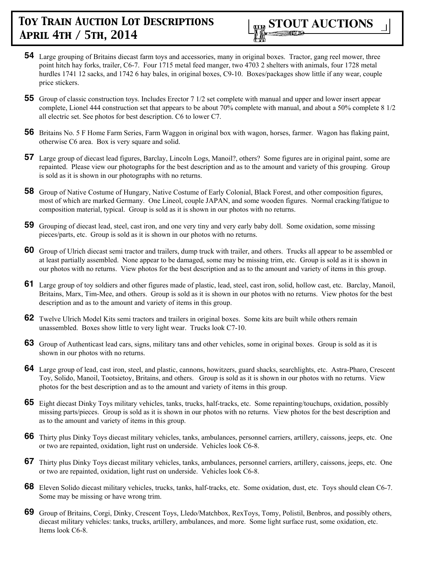

- **54** Large grouping of Britains diecast farm toys and accessories, many in original boxes. Tractor, gang reel mower, three point hitch hay forks, trailer, C6-7. Four 1715 metal feed manger, two 4703 2 shelters with animals, four 1728 metal hurdles 1741 12 sacks, and 1742 6 hay bales, in original boxes, C9-10. Boxes/packages show little if any wear, couple price stickers.
- **55** Group of classic construction toys. Includes Erector 7 1/2 set complete with manual and upper and lower insert appear complete, Lionel 444 construction set that appears to be about 70% complete with manual, and about a 50% complete 8 1/2 all electric set. See photos for best description. C6 to lower C7.
- **56** Britains No. 5 F Home Farm Series, Farm Waggon in original box with wagon, horses, farmer. Wagon has flaking paint, otherwise C6 area. Box is very square and solid.
- **57** Large group of diecast lead figures, Barclay, Lincoln Logs, Manoil?, others? Some figures are in original paint, some are repainted. Please view our photographs for the best description and as to the amount and variety of this grouping. Group is sold as it is shown in our photographs with no returns.
- **58** Group of Native Costume of Hungary, Native Costume of Early Colonial, Black Forest, and other composition figures, most of which are marked Germany. One Lineol, couple JAPAN, and some wooden figures. Normal cracking/fatigue to composition material, typical. Group is sold as it is shown in our photos with no returns.
- **59** Grouping of diecast lead, steel, cast iron, and one very tiny and very early baby doll. Some oxidation, some missing pieces/parts, etc. Group is sold as it is shown in our photos with no returns.
- **60** Group of Ulrich diecast semi tractor and trailers, dump truck with trailer, and others. Trucks all appear to be assembled or at least partially assembled. None appear to be damaged, some may be missing trim, etc. Group is sold as it is shown in our photos with no returns. View photos for the best description and as to the amount and variety of items in this group.
- **61** Large group of toy soldiers and other figures made of plastic, lead, steel, cast iron, solid, hollow cast, etc. Barclay, Manoil, Britains, Marx, Tim-Mee, and others. Group is sold as it is shown in our photos with no returns. View photos for the best description and as to the amount and variety of items in this group.
- **62** Twelve Ulrich Model Kits semi tractors and trailers in original boxes. Some kits are built while others remain unassembled. Boxes show little to very light wear. Trucks look C7-10.
- **63** Group of Authenticast lead cars, signs, military tans and other vehicles, some in original boxes. Group is sold as it is shown in our photos with no returns.
- **64** Large group of lead, cast iron, steel, and plastic, cannons, howitzers, guard shacks, searchlights, etc. Astra-Pharo, Crescent Toy, Solido, Manoil, Tootsietoy, Britains, and others. Group is sold as it is shown in our photos with no returns. View photos for the best description and as to the amount and variety of items in this group.
- **65** Eight diecast Dinky Toys military vehicles, tanks, trucks, half-tracks, etc. Some repainting/touchups, oxidation, possibly missing parts/pieces. Group is sold as it is shown in our photos with no returns. View photos for the best description and as to the amount and variety of items in this group.
- **66** Thirty plus Dinky Toys diecast military vehicles, tanks, ambulances, personnel carriers, artillery, caissons, jeeps, etc. One or two are repainted, oxidation, light rust on underside. Vehicles look C6-8.
- **67** Thirty plus Dinky Toys diecast military vehicles, tanks, ambulances, personnel carriers, artillery, caissons, jeeps, etc. One or two are repainted, oxidation, light rust on underside. Vehicles look C6-8.
- **68** Eleven Solido diecast military vehicles, trucks, tanks, half-tracks, etc. Some oxidation, dust, etc. Toys should clean C6-7. Some may be missing or have wrong trim.
- **69** Group of Britains, Corgi, Dinky, Crescent Toys, Lledo/Matchbox, RexToys, Tomy, Polistil, Benbros, and possibly others, diecast military vehicles: tanks, trucks, artillery, ambulances, and more. Some light surface rust, some oxidation, etc. Items look C6-8.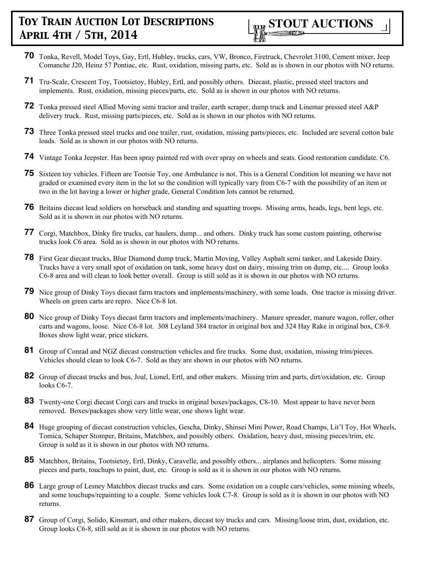

- **70** Tonka, Revell, Model Toys, Gay, Ertl, Hubley, trucks, cars, VW, Bronco, Firetruck, Chevrolet 3100, Cement mixer, Jeep Comanche J20, Heinz 57 Pontiac, etc. Rust, oxidation, missing parts, etc. Sold as is shown in our photos with NO returns.
- **71** Tru-Scale, Crescent Toy, Tootsietoy, Hubley, Ertl, and possibly others. Diecast, plastic, pressed steel tractors and implements. Rust, oxidation, missing pieces/parts, etc. Sold as is shown in our photos with NO returns.
- **72** Tonka pressed steel Allied Moving semi tractor and trailer, earth scraper, dump truck and Linemar pressed steel A&P delivery truck. Rust, missing parts/pieces, etc. Sold as is shown in our photos with NO returns.
- **73** Three Tonka pressed steel trucks and one trailer, rust, oxidation, missing parts/pieces, etc. Included are several cotton bale loads. Sold as is shown in our photos with NO returns.
- **74** Vintage Tonka Jeepster. Has been spray painted red with over spray on wheels and seats. Good restoration candidate. C6.
- **75** Sixteen toy vehicles. Fifteen are Tootsie Toy, one Ambulance is not. This is a General Condition lot meaning we have not graded or examined every item in the lot so the condition will typically vary from C6-7 with the possibility of an item or two in the lot having a lower or higher grade, General Condition lots cannot be returned.
- **76** Britains diecast lead soldiers on horseback and standing and squatting troops. Missing arms, heads, legs, bent legs, etc. Sold as it is shown in our photos with NO returns.
- **77** Corgi, Matchbox, Dinky fire trucks, car haulers, dump... and others. Dinky truck has some custom painting, otherwise trucks look C6 area. Sold as is shown in our photos with NO returns.
- **78** First Gear diecast trucks, Blue Diamond dump truck, Martin Moving, Valley Asphalt semi tanker, and Lakeside Dairy. Trucks have a very small spot of oxidation on tank, some heavy dust on dairy, missing trim on dump, etc.... Group looks C6-8 area and will clean to look better overall. Group is still sold as it is shown in our photos with NO returns.
- **79** Nice group of Dinky Toys diecast farm tractors and implements/machinery, with some loads. One tractor is missing driver. Wheels on green carts are repro. Nice C6-8 lot.
- **80** Nice group of Dinky Toys diecast farm tractors and implements/machinery. Manure spreader, manure wagon, roller, other carts and wagons, loose. Nice C6-8 lot. 308 Leyland 384 tractor in original box and 324 Hay Rake in original box, C8-9. Boxes show light wear, price stickers.
- **81** Group of Conrad and NGZ diecast construction vehicles and fire trucks. Some dust, oxidation, missing trim/pieces. Vehicles should clean to look C6-7. Sold as they are shown in our photos with NO returns.
- **82** Group of diecast trucks and bus, Joal, Lionel, Ertl, and other makers. Missing trim and parts, dirt/oxidation, etc. Group looks C6-7.
- **83** Twenty-one Corgi diecast Corgi cars and trucks in original boxes/packages, C8-10. Most appear to have never been removed. Boxes/packages show very little wear, one shows light wear.
- **84** Huge grouping of diecast construction vehicles, Gescha, Dinky, Shinsei Mini Power, Road Champs, Lit'l Toy, Hot Wheels, Tomica, Schaper Stomper, Britains, Matchbox, and possibly others. Oxidation, heavy dust, missing pieces/trim, etc. Group is sold as it is shown in our photos with NO returns.
- **85** Matchbox, Britains, Tootsietoy, Ertl, Dinky, Caravelle, and possibly others... airplanes and helicopters. Some missing pieces and parts, touchups to paint, dust, etc. Group is sold as it is shown in our photos with NO returns.
- **86** Large group of Lesney Matchbox diecast trucks and cars. Some oxidation on a couple cars/vehicles, some missing wheels, and some touchups/repainting to a couple. Some vehicles look C7-8. Group is sold as it is shown in our photos with NO returns.
- **87** Group of Corgi, Solido, Kinsmart, and other makers, diecast toy trucks and cars. Missing/loose trim, dust, oxidation, etc. Group looks C6-8, still sold as it is shown in our photos with NO returns.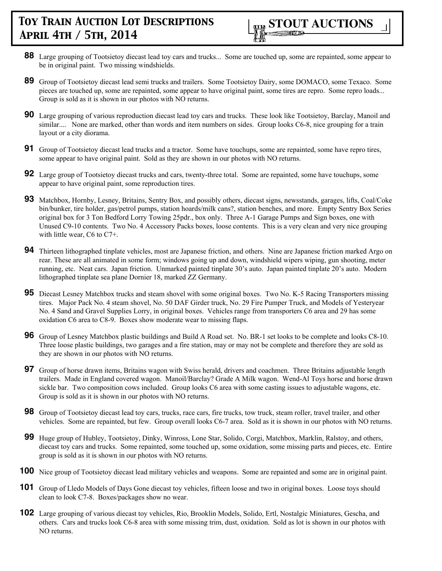- **88** Large grouping of Tootsietoy diecast lead toy cars and trucks... Some are touched up, some are repainted, some appear to be in original paint. Two missing windshields.
- **89** Group of Tootsietoy diecast lead semi trucks and trailers. Some Tootsietoy Dairy, some DOMACO, some Texaco. Some pieces are touched up, some are repainted, some appear to have original paint, some tires are repro. Some repro loads... Group is sold as it is shown in our photos with NO returns.
- **90** Large grouping of various reproduction diecast lead toy cars and trucks. These look like Tootsietoy, Barclay, Manoil and similar.... None are marked, other than words and item numbers on sides. Group looks C6-8, nice grouping for a train layout or a city diorama.
- **91** Group of Tootsietoy diecast lead trucks and a tractor. Some have touchups, some are repainted, some have repro tires, some appear to have original paint. Sold as they are shown in our photos with NO returns.
- **92** Large group of Tootsietoy diecast trucks and cars, twenty-three total. Some are repainted, some have touchups, some appear to have original paint, some reproduction tires.
- **93** Matchbox, Hornby, Lesney, Britains, Sentry Box, and possibly others, diecast signs, newsstands, garages, lifts, Coal/Coke bin/bunker, tire holder, gas/petrol pumps, station hoards/milk cans?, station benches, and more. Empty Sentry Box Series original box for 3 Ton Bedford Lorry Towing 25pdr., box only. Three A-1 Garage Pumps and Sign boxes, one with Unused C9-10 contents. Two No. 4 Accessory Packs boxes, loose contents. This is a very clean and very nice grouping with little wear, C6 to C7+.
- **94** Thirteen lithographed tinplate vehicles, most are Japanese friction, and others. Nine are Japanese friction marked Argo on rear. These are all animated in some form; windows going up and down, windshield wipers wiping, gun shooting, meter running, etc. Neat cars. Japan friction. Unmarked painted tinplate 30's auto. Japan painted tinplate 20's auto. Modern lithographed tinplate sea plane Dornier 18, marked ZZ Germany.
- **95** Diecast Lesney Matchbox trucks and steam shovel with some original boxes. Two No. K-5 Racing Transporters missing tires. Major Pack No. 4 steam shovel, No. 50 DAF Girder truck, No. 29 Fire Pumper Truck, and Models of Yesteryear No. 4 Sand and Gravel Supplies Lorry, in original boxes. Vehicles range from transporters C6 area and 29 has some oxidation C6 area to C8-9. Boxes show moderate wear to missing flaps.
- **96** Group of Lesney Matchbox plastic buildings and Build A Road set. No. BR-1 set looks to be complete and looks C8-10. Three loose plastic buildings, two garages and a fire station, may or may not be complete and therefore they are sold as they are shown in our photos with NO returns.
- **97** Group of horse drawn items, Britains wagon with Swiss herald, drivers and coachmen. Three Britains adjustable length trailers. Made in England covered wagon. Manoil/Barclay? Grade A Milk wagon. Wend-Al Toys horse and horse drawn sickle bar. Two composition cows included. Group looks C6 area with some casting issues to adjustable wagons, etc. Group is sold as it is shown in our photos with NO returns.
- **98** Group of Tootsietoy diecast lead toy cars, trucks, race cars, fire trucks, tow truck, steam roller, travel trailer, and other vehicles. Some are repainted, but few. Group overall looks C6-7 area. Sold as it is shown in our photos with NO returns.
- **99** Huge group of Hubley, Tootsietoy, Dinky, Winross, Lone Star, Solido, Corgi, Matchbox, Marklin, Ralstoy, and others, diecast toy cars and trucks. Some repainted, some touched up, some oxidation, some missing parts and pieces, etc. Entire group is sold as it is shown in our photos with NO returns.
- **100** Nice group of Tootsietoy diecast lead military vehicles and weapons. Some are repainted and some are in original paint.
- **101** Group of Lledo Models of Days Gone diecast toy vehicles, fifteen loose and two in original boxes. Loose toys should clean to look C7-8. Boxes/packages show no wear.
- **102** Large grouping of various diecast toy vehicles, Rio, Brooklin Models, Solido, Ertl, Nostalgic Miniatures, Gescha, and others. Cars and trucks look C6-8 area with some missing trim, dust, oxidation. Sold as lot is shown in our photos with NO returns.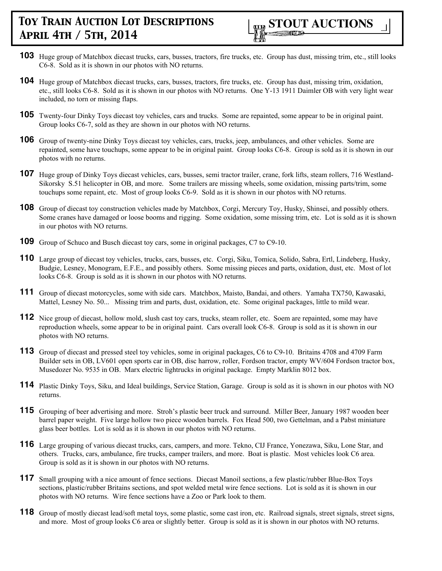

- **103** Huge group of Matchbox diecast trucks, cars, busses, tractors, fire trucks, etc. Group has dust, missing trim, etc., still looks C6-8. Sold as it is shown in our photos with NO returns.
- **104** Huge group of Matchbox diecast trucks, cars, busses, tractors, fire trucks, etc. Group has dust, missing trim, oxidation, etc., still looks C6-8. Sold as it is shown in our photos with NO returns. One Y-13 1911 Daimler OB with very light wear included, no torn or missing flaps.
- **105** Twenty-four Dinky Toys diecast toy vehicles, cars and trucks. Some are repainted, some appear to be in original paint. Group looks C6-7, sold as they are shown in our photos with NO returns.
- **106** Group of twenty-nine Dinky Toys diecast toy vehicles, cars, trucks, jeep, ambulances, and other vehicles. Some are repainted, some have touchups, some appear to be in original paint. Group looks C6-8. Group is sold as it is shown in our photos with no returns.
- **107** Huge group of Dinky Toys diecast vehicles, cars, busses, semi tractor trailer, crane, fork lifts, steam rollers, 716 Westland-Sikorsky S.51 helicopter in OB, and more. Some trailers are missing wheels, some oxidation, missing parts/trim, some touchups some repaint, etc. Most of group looks C6-9. Sold as it is shown in our photos with NO returns.
- **108** Group of diecast toy construction vehicles made by Matchbox, Corgi, Mercury Toy, Husky, Shinsei, and possibly others. Some cranes have damaged or loose booms and rigging. Some oxidation, some missing trim, etc. Lot is sold as it is shown in our photos with NO returns.
- **109** Group of Schuco and Busch diecast toy cars, some in original packages, C7 to C9-10.
- **110** Large group of diecast toy vehicles, trucks, cars, busses, etc. Corgi, Siku, Tomica, Solido, Sabra, Ertl, Lindeberg, Husky, Budgie, Lesney, Monogram, E.F.E., and possibly others. Some missing pieces and parts, oxidation, dust, etc. Most of lot looks C6-8. Group is sold as it is shown in our photos with NO returns.
- **111** Group of diecast motorcycles, some with side cars. Matchbox, Maisto, Bandai, and others. Yamaha TX750, Kawasaki, Mattel, Lesney No. 50... Missing trim and parts, dust, oxidation, etc. Some original packages, little to mild wear.
- **112** Nice group of diecast, hollow mold, slush cast toy cars, trucks, steam roller, etc. Soem are repainted, some may have reproduction wheels, some appear to be in original paint. Cars overall look C6-8. Group is sold as it is shown in our photos with NO returns.
- **113** Group of diecast and pressed steel toy vehicles, some in original packages, C6 to C9-10. Britains 4708 and 4709 Farm Builder sets in OB, LV601 open sports car in OB, disc harrow, roller, Fordson tractor, empty WV/604 Fordson tractor box, Musedozer No. 9535 in OB. Marx electric lightrucks in original package. Empty Marklin 8012 box.
- **114** Plastic Dinky Toys, Siku, and Ideal buildings, Service Station, Garage. Group is sold as it is shown in our photos with NO returns.
- **115** Grouping of beer advertising and more. Stroh's plastic beer truck and surround. Miller Beer, January 1987 wooden beer barrel paper weight. Five large hollow two piece wooden barrels. Fox Head 500, two Gettelman, and a Pabst miniature glass beer bottles. Lot is sold as it is shown in our photos with NO returns.
- **116** Large grouping of various diecast trucks, cars, campers, and more. Tekno, CIJ France, Yonezawa, Siku, Lone Star, and others. Trucks, cars, ambulance, fire trucks, camper trailers, and more. Boat is plastic. Most vehicles look C6 area. Group is sold as it is shown in our photos with NO returns.
- **117** Small grouping with a nice amount of fence sections. Diecast Manoil sections, a few plastic/rubber Blue-Box Toys sections, plastic/rubber Britains sections, and spot welded metal wire fence sections. Lot is sold as it is shown in our photos with NO returns. Wire fence sections have a Zoo or Park look to them.
- **118** Group of mostly diecast lead/soft metal toys, some plastic, some cast iron, etc. Railroad signals, street signals, street signs, and more. Most of group looks C6 area or slightly better. Group is sold as it is shown in our photos with NO returns.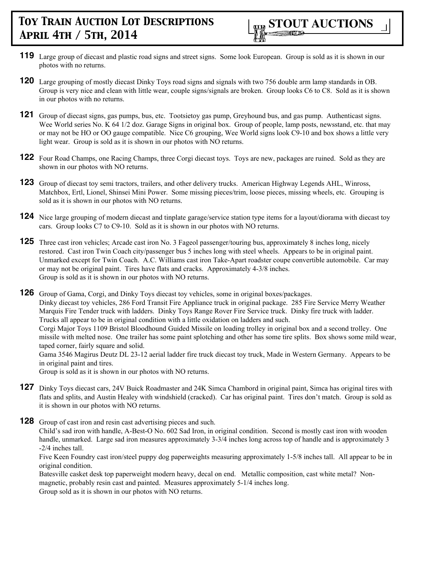- **119** Large group of diecast and plastic road signs and street signs. Some look European. Group is sold as it is shown in our photos with no returns.
- **120** Large grouping of mostly diecast Dinky Toys road signs and signals with two 756 double arm lamp standards in OB. Group is very nice and clean with little wear, couple signs/signals are broken. Group looks C6 to C8. Sold as it is shown in our photos with no returns.
- **121** Group of diecast signs, gas pumps, bus, etc. Tootsietoy gas pump, Greyhound bus, and gas pump. Authenticast signs. Wee World series No. K 64 1/2 doz. Garage Signs in original box. Group of people, lamp posts, newsstand, etc. that may or may not be HO or OO gauge compatible. Nice C6 grouping, Wee World signs look C9-10 and box shows a little very light wear. Group is sold as it is shown in our photos with NO returns.
- **122** Four Road Champs, one Racing Champs, three Corgi diecast toys. Toys are new, packages are ruined. Sold as they are shown in our photos with NO returns.
- **123** Group of diecast toy semi tractors, trailers, and other delivery trucks. American Highway Legends AHL, Winross, Matchbox, Ertl, Lionel, Shinsei Mini Power. Some missing pieces/trim, loose pieces, missing wheels, etc. Grouping is sold as it is shown in our photos with NO returns.
- **124** Nice large grouping of modern diecast and tinplate garage/service station type items for a layout/diorama with diecast toy cars. Group looks C7 to C9-10. Sold as it is shown in our photos with NO returns.
- **125** Three cast iron vehicles; Arcade cast iron No. 3 Fageol passenger/touring bus, approximately 8 inches long, nicely restored. Cast iron Twin Coach city/passenger bus 5 inches long with steel wheels. Appears to be in original paint. Unmarked except for Twin Coach. A.C. Williams cast iron Take-Apart roadster coupe convertible automobile. Car may or may not be original paint. Tires have flats and cracks. Approximately 4-3/8 inches. Group is sold as it is shown in our photos with NO returns.
- **126** Group of Gama, Corgi, and Dinky Toys diecast toy vehicles, some in original boxes/packages. Dinky diecast toy vehicles, 286 Ford Transit Fire Appliance truck in original package. 285 Fire Service Merry Weather Marquis Fire Tender truck with ladders. Dinky Toys Range Rover Fire Service truck. Dinky fire truck with ladder. Trucks all appear to be in original condition with a little oxidation on ladders and such. Corgi Major Toys 1109 Bristol Bloodhound Guided Missile on loading trolley in original box and a second trolley. One missile with melted nose. One trailer has some paint splotching and other has some tire splits. Box shows some mild wear, taped corner, fairly square and solid. Gama 3546 Magirus Deutz DL 23-12 aerial ladder fire truck diecast toy truck, Made in Western Germany. Appears to be in original paint and tires. Group is sold as it is shown in our photos with NO returns.
- 127 Dinky Toys diecast cars, 24V Buick Roadmaster and 24K Simca Chambord in original paint, Simca has original tires with flats and splits, and Austin Healey with windshield (cracked). Car has original paint. Tires don't match. Group is sold as it is shown in our photos with NO returns.
- **128** Group of cast iron and resin cast advertising pieces and such.

Child's sad iron with handle, A-Best-O No. 602 Sad Iron, in original condition. Second is mostly cast iron with wooden handle, unmarked. Large sad iron measures approximately 3-3/4 inches long across top of handle and is approximately 3 -2/4 inches tall.

Five Keen Foundry cast iron/steel puppy dog paperweights measuring approximately 1-5/8 inches tall. All appear to be in original condition.

Batesville casket desk top paperweight modern heavy, decal on end. Metallic composition, cast white metal? Nonmagnetic, probably resin cast and painted. Measures approximately 5-1/4 inches long. Group sold as it is shown in our photos with NO returns.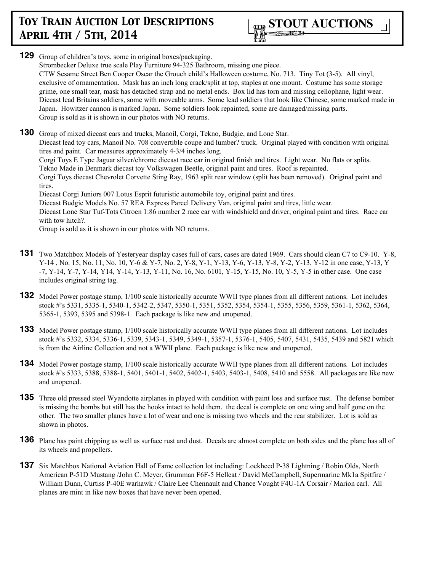

**129** Group of children's toys, some in original boxes/packaging. Strombecker Deluxe true scale Play Furniture 94-325 Bathroom, missing one piece. CTW Sesame Street Ben Cooper Oscar the Grouch child's Halloween costume, No. 713. Tiny Tot (3-5). All vinyl, exclusive of ornamentation. Mask has an inch long crack/split at top, staples at one mount. Costume has some storage grime, one small tear, mask has detached strap and no metal ends. Box lid has torn and missing cellophane, light wear. Diecast lead Britains soldiers, some with moveable arms. Some lead soldiers that look like Chinese, some marked made in Japan. Howitzer cannon is marked Japan. Some soldiers look repainted, some are damaged/missing parts. Group is sold as it is shown in our photos with NO returns. **130** Group of mixed diecast cars and trucks, Manoil, Corgi, Tekno, Budgie, and Lone Star. Diecast lead toy cars, Manoil No. 708 convertible coupe and lumber? truck. Original played with condition with original tires and paint. Car measures approximately 4-3/4 inches long. Corgi Toys E Type Jaguar silver/chrome diecast race car in original finish and tires. Light wear. No flats or splits. Tekno Made in Denmark diecast toy Volkswagen Beetle, original paint and tires. Roof is repainted. Corgi Toys diecast Chevrolet Corvette Sting Ray, 1963 split rear window (split has been removed). Original paint and

tires.

Diecast Corgi Juniors 007 Lotus Esprit futuristic automobile toy, original paint and tires.

Diecast Budgie Models No. 57 REA Express Parcel Delivery Van, original paint and tires, little wear.

Diecast Lone Star Tuf-Tots Citroen 1:86 number 2 race car with windshield and driver, original paint and tires. Race car with tow hitch?.

Group is sold as it is shown in our photos with NO returns.

- **131** Two Matchbox Models of Yesteryear display cases full of cars, cases are dated 1969. Cars should clean C7 to C9-10. Y-8, Y-14 , No. 15, No. 11, No. 10, Y-6 & Y-7, No. 2, Y-8, Y-1, Y-13, Y-6, Y-13, Y-8, Y-2, Y-13, Y-12 in one case, Y-13, Y -7, Y-14, Y-7, Y-14, Y14, Y-14, Y-13, Y-11, No. 16, No. 6101, Y-15, Y-15, No. 10, Y-5, Y-5 in other case. One case includes original string tag.
- **132** Model Power postage stamp, 1/100 scale historically accurate WWII type planes from all different nations. Lot includes stock #'s 5331, 5335-1, 5340-1, 5342-2, 5347, 5350-1, 5351, 5352, 5354, 5354-1, 5355, 5356, 5359, 5361-1, 5362, 5364, 5365-1, 5393, 5395 and 5398-1. Each package is like new and unopened.
- **133** Model Power postage stamp, 1/100 scale historically accurate WWII type planes from all different nations. Lot includes stock #'s 5332, 5334, 5336-1, 5339, 5343-1, 5349, 5349-1, 5357-1, 5376-1, 5405, 5407, 5431, 5435, 5439 and 5821 which is from the Airline Collection and not a WWII plane. Each package is like new and unopened.
- **134** Model Power postage stamp, 1/100 scale historically accurate WWII type planes from all different nations. Lot includes stock #'s 5333, 5388, 5388-1, 5401, 5401-1, 5402, 5402-1, 5403, 5403-1, 5408, 5410 and 5558. All packages are like new and unopened.
- **135** Three old pressed steel Wyandotte airplanes in played with condition with paint loss and surface rust. The defense bomber is missing the bombs but still has the hooks intact to hold them. the decal is complete on one wing and half gone on the other. The two smaller planes have a lot of wear and one is missing two wheels and the rear stabilizer. Lot is sold as shown in photos.
- **136** Plane has paint chipping as well as surface rust and dust. Decals are almost complete on both sides and the plane has all of its wheels and propellers.
- **137** Six Matchbox National Aviation Hall of Fame collection lot including: Lockheed P-38 Lightning / Robin Olds, North American P-51D Mustang /John C. Meyer, Grumman F6F-5 Hellcat / David McCampbell, Supermarine Mk1a Spitfire / William Dunn, Curtiss P-40E warhawk / Claire Lee Chennault and Chance Vought F4U-1A Corsair / Marion carl. All planes are mint in like new boxes that have never been opened.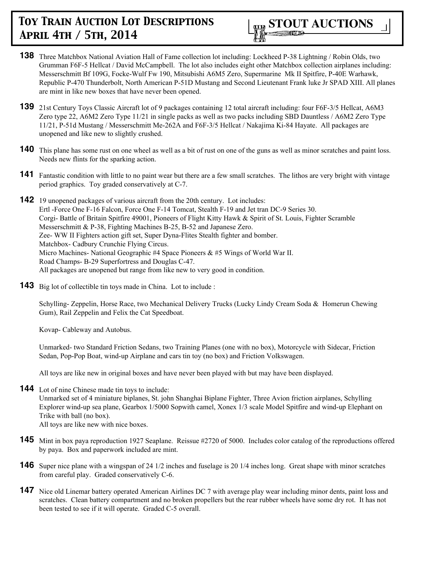

- **138** Three Matchbox National Aviation Hall of Fame collection lot including: Lockheed P-38 Lightning / Robin Olds, two Grumman F6F-5 Hellcat / David McCampbell. The lot also includes eight other Matchbox collection airplanes including: Messerschmitt Bf 109G, Focke-Wulf Fw 190, Mitsubishi A6M5 Zero, Supermarine Mk II Spitfire, P-40E Warhawk, Republic P-470 Thunderbolt, North American P-51D Mustang and Second Lieutenant Frank luke Jr SPAD XIII. All planes are mint in like new boxes that have never been opened.
- **139** 21st Century Toys Classic Aircraft lot of 9 packages containing 12 total aircraft including: four F6F-3/5 Hellcat, A6M3 Zero type 22, A6M2 Zero Type 11/21 in single packs as well as two packs including SBD Dauntless / A6M2 Zero Type 11/21, P-51d Mustang / Messerschmitt Me-262A and F6F-3/5 Hellcat / Nakajima Ki-84 Hayate. All packages are unopened and like new to slightly crushed.
- **140** This plane has some rust on one wheel as well as a bit of rust on one of the guns as well as minor scratches and paint loss. Needs new flints for the sparking action.
- **141** Fantastic condition with little to no paint wear but there are a few small scratches. The lithos are very bright with vintage period graphics. Toy graded conservatively at C-7.
- **142** 19 unopened packages of various aircraft from the 20th century. Lot includes: Ertl -Force One F-16 Falcon, Force One F-14 Tomcat, Stealth F-19 and Jet tran DC-9 Series 30. Corgi- Battle of Britain Spitfire 49001, Pioneers of Flight Kitty Hawk & Spirit of St. Louis, Fighter Scramble Messerschmitt & P-38, Fighting Machines B-25, B-52 and Japanese Zero. Zee- WW II Fighters action gift set, Super Dyna-Flites Stealth fighter and bomber. Matchbox- Cadbury Crunchie Flying Circus. Micro Machines- National Geographic #4 Space Pioneers & #5 Wings of World War II. Road Champs- B-29 Superfortress and Douglas C-47. All packages are unopened but range from like new to very good in condition.
- **143** Big lot of collectible tin toys made in China. Lot to include :

Schylling- Zeppelin, Horse Race, two Mechanical Delivery Trucks (Lucky Lindy Cream Soda & Homerun Chewing Gum), Rail Zeppelin and Felix the Cat Speedboat.

Kovap- Cableway and Autobus.

Unmarked- two Standard Friction Sedans, two Training Planes (one with no box), Motorcycle with Sidecar, Friction Sedan, Pop-Pop Boat, wind-up Airplane and cars tin toy (no box) and Friction Volkswagen.

All toys are like new in original boxes and have never been played with but may have been displayed.

- **144** Lot of nine Chinese made tin toys to include: Unmarked set of 4 miniature biplanes, St. john Shanghai Biplane Fighter, Three Avion friction airplanes, Schylling Explorer wind-up sea plane, Gearbox 1/5000 Sopwith camel, Xonex 1/3 scale Model Spitfire and wind-up Elephant on Trike with ball (no box). All toys are like new with nice boxes.
- **145** Mint in box paya reproduction 1927 Seaplane. Reissue #2720 of 5000. Includes color catalog of the reproductions offered by paya. Box and paperwork included are mint.
- **146** Super nice plane with a wingspan of 24 1/2 inches and fuselage is 20 1/4 inches long. Great shape with minor scratches from careful play. Graded conservatively C-6.
- **147** Nice old Linemar battery operated American Airlines DC 7 with average play wear including minor dents, paint loss and scratches. Clean battery compartment and no broken propellers but the rear rubber wheels have some dry rot. It has not been tested to see if it will operate. Graded C-5 overall.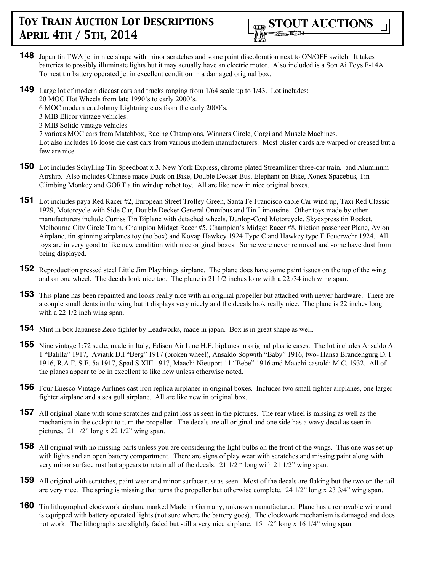

- **148** Japan tin TWA jet in nice shape with minor scratches and some paint discoloration next to ON/OFF switch. It takes batteries to possibly illuminate lights but it may actually have an electric motor. Also included is a Son Ai Toys F-14A Tomcat tin battery operated jet in excellent condition in a damaged original box.
- **149** Large lot of modern diecast cars and trucks ranging from 1/64 scale up to 1/43. Lot includes: 20 MOC Hot Wheels from late 1990's to early 2000's.

6 MOC modern era Johnny Lightning cars from the early 2000's.

- 3 MIB Elicor vintage vehicles.
- 3 MIB Solido vintage vehicles

7 various MOC cars from Matchbox, Racing Champions, Winners Circle, Corgi and Muscle Machines.

Lot also includes 16 loose die cast cars from various modern manufacturers. Most blister cards are warped or creased but a few are nice.

- **150** Lot includes Schylling Tin Speedboat x 3, New York Express, chrome plated Streamliner three-car train, and Aluminum Airship. Also includes Chinese made Duck on Bike, Double Decker Bus, Elephant on Bike, Xonex Spacebus, Tin Climbing Monkey and GORT a tin windup robot toy. All are like new in nice original boxes.
- **151** Lot includes paya Red Racer #2, European Street Trolley Green, Santa Fe Francisco cable Car wind up, Taxi Red Classic 1929, Motorcycle with Side Car, Double Decker General Onmibus and Tin Limousine. Other toys made by other manufacturers include Curtiss Tin Biplane with detached wheels, Dunlop-Cord Motorcycle, Skyexpress tin Rocket, Melbourne City Circle Tram, Champion Midget Racer #5, Champion's Midget Racer #8, friction passenger Plane, Avion Airplane, tin spinning airplanes toy (no box) and Kovap Hawkey 1924 Type C and Hawkey type E Feuerwehr 1924. All toys are in very good to like new condition with nice original boxes. Some were never removed and some have dust from being displayed.
- **152** Reproduction pressed steel Little Jim Playthings airplane. The plane does have some paint issues on the top of the wing and on one wheel. The decals look nice too. The plane is 21 1/2 inches long with a 22 /34 inch wing span.
- **153** This plane has been repainted and looks really nice with an original propeller but attached with newer hardware. There are a couple small dents in the wing but it displays very nicely and the decals look really nice. The plane is 22 inches long with a 22 1/2 inch wing span.
- **154** Mint in box Japanese Zero fighter by Leadworks, made in japan. Box is in great shape as well.
- **155** Nine vintage 1:72 scale, made in Italy, Edison Air Line H.F. biplanes in original plastic cases. The lot includes Ansaldo A. 1 "Balilla" 1917, Aviatik D.I "Berg" 1917 (broken wheel), Ansaldo Sopwith "Baby" 1916, two- Hansa Brandengurg D. I 1916, R.A.F. S.E. 5a 1917, Spad S XIII 1917, Maachi Nieuport 11 "Bebe" 1916 and Maachi-castoldi M.C. 1932. All of the planes appear to be in excellent to like new unless otherwise noted.
- **156** Four Enesco Vintage Airlines cast iron replica airplanes in original boxes. Includes two small fighter airplanes, one larger fighter airplane and a sea gull airplane. All are like new in original box.
- **157** All original plane with some scratches and paint loss as seen in the pictures. The rear wheel is missing as well as the mechanism in the cockpit to turn the propeller. The decals are all original and one side has a wavy decal as seen in pictures. 21  $1/2$ " long x 22  $1/2$ " wing span.
- **158** All original with no missing parts unless you are considering the light bulbs on the front of the wings. This one was set up with lights and an open battery compartment. There are signs of play wear with scratches and missing paint along with very minor surface rust but appears to retain all of the decals. 21 1/2 " long with 21 1/2" wing span.
- **159** All original with scratches, paint wear and minor surface rust as seen. Most of the decals are flaking but the two on the tail are very nice. The spring is missing that turns the propeller but otherwise complete. 24  $1/2$ " long x 23  $3/4$ " wing span.
- **160** Tin lithographed clockwork airplane marked Made in Germany, unknown manufacturer. Plane has a removable wing and is equipped with battery operated lights (not sure where the battery goes). The clockwork mechanism is damaged and does not work. The lithographs are slightly faded but still a very nice airplane. 15 1/2" long x 16 1/4" wing span.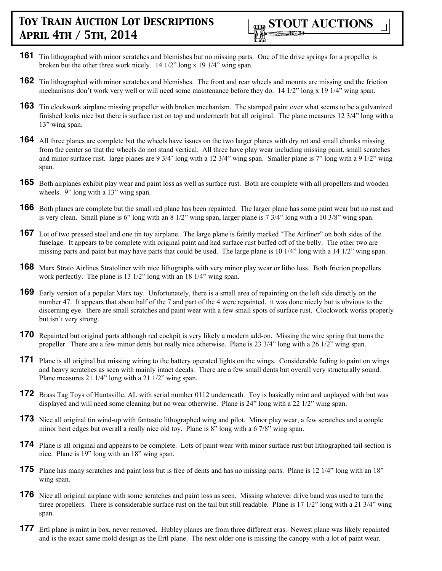

- **161** Tin lithographed with minor scratches and blemishes but no missing parts. One of the drive springs for a propeller is broken but the other three work nicely. 14 1/2" long x 19 1/4" wing span.
- **162** Tin lithographed with minor scratches and blemishes. The front and rear wheels and mounts are missing and the friction mechanisms don't work very well or will need some maintenance before they do. 14 1/2" long x 19 1/4" wing span.
- **163** Tin clockwork airplane missing propeller with broken mechanism. The stamped paint over what seems to be a galvanized finished looks nice but there is surface rust on top and underneath but all original. The plane measures 12 3/4" long with a 13" wing span.
- **164** All three planes are complete but the wheels have issues on the two larger planes with dry rot and small chunks missing from the center so that the wheels do not stand vertical. All three have play wear including missing paint, small scratches and minor surface rust. large planes are 9 3/4' long with a 12 3/4" wing span. Smaller plane is 7" long with a 9 1/2" wing span.
- **165** Both airplanes exhibit play wear and paint loss as well as surface rust. Both are complete with all propellers and wooden wheels. 9" long with a 13" wing span.
- **166** Both planes are complete but the small red plane has been repainted. The larger plane has some paint wear but no rust and is very clean. Small plane is 6" long with an 8 1/2" wing span, larger plane is 7 3/4" long with a 10 3/8" wing span.
- **167** Lot of two pressed steel and one tin toy airplane. The large plane is faintly marked "The Airliner" on both sides of the fuselage. It appears to be complete with original paint and had surface rust buffed off of the belly. The other two are missing parts and paint but may have parts that could be used. The large plane is 10 1/4" long with a 14 1/2" wing span.
- **168** Marx Strato Airlines Stratoliner with nice lithographs with very minor play wear or litho loss. Both friction propellers work perfectly. The plane is 13 1/2" long with an 18 1/4" wing span.
- **169** Early version of a popular Marx toy. Unfortunately, there is a small area of repainting on the left side directly on the number 47. It appears that about half of the 7 and part of the 4 were repainted. it was done nicely but is obvious to the discerning eye. there are small scratches and paint wear with a few small spots of surface rust. Clockwork works properly but isn't very strong.
- **170** Repainted but original parts although red cockpit is very likely a modern add-on. Missing the wire spring that turns the propeller. There are a few minor dents but really nice otherwise. Plane is 23 3/4" long with a 26 1/2" wing span.
- **171** Plane is all original but missing wiring to the battery operated lights on the wings. Considerable fading to paint on wings and heavy scratches as seen with mainly intact decals. There are a few small dents but overall very structurally sound. Plane measures 21 1/4" long with a 21 1/2" wing span.
- **172** Brass Tag Toys of Huntsville, AL with serial number 0112 underneath. Toy is basically mint and unplayed with but was displayed and will need some cleaning but no wear otherwise. Plane is 24" long with a 22 1/2" wing span.
- **173** Nice all original tin wind-up with fantastic lithographed wing and pilot. Minor play wear, a few scratches and a couple minor bent edges but overall a really nice old toy. Plane is 8" long with a 6 7/8" wing span.
- **174** Plane is all original and appears to be complete. Lots of paint wear with minor surface rust but lithographed tail section is nice. Plane is 19" long with an 18" wing span.
- **175** Plane has many scratches and paint loss but is free of dents and has no missing parts. Plane is 12 1/4" long with an 18" wing span.
- **176** Nice all original airplane with some scratches and paint loss as seen. Missing whatever drive band was used to turn the three propellers. There is considerable surface rust on the tail but still readable. Plane is 17 1/2" long with a 21 3/4" wing span.
- **177** Ertl plane is mint in box, never removed. Hubley planes are from three different eras. Newest plane was likely repainted and is the exact same mold design as the Ertl plane. The next older one is missing the canopy with a lot of paint wear.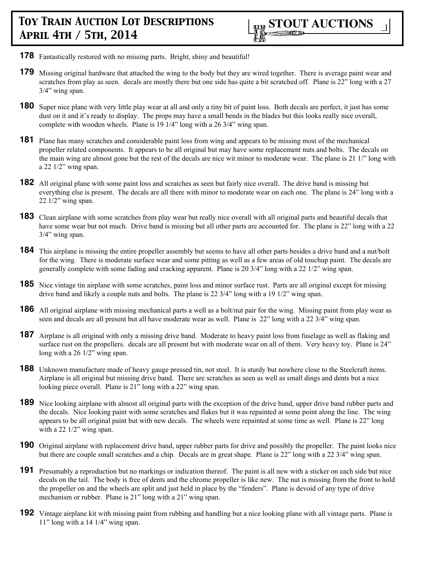- **178** Fantastically restored with no missing parts. Bright, shiny and beautiful!
- **179** Missing original hardware that attached the wing to the body but they are wired together. There is average paint wear and scratches from play as seen. decals are mostly there but one side has quite a bit scratched off. Plane is 22" long with a 27 3/4" wing span.
- **180** Super nice plane with very little play wear at all and only a tiny bit of paint loss. Both decals are perfect, it just has some dust on it and it's ready to display. The props may have a small bends in the blades but this looks really nice overall, complete with wooden wheels. Plane is 19 1/4" long with a 26 3/4" wing span.
- **181** Plane has many scratches and considerable paint loss from wing and appears to be missing most of the mechanical propeller related components. It appears to be all original but may have some replacement nuts and bolts. The decals on the main wing are almost gone but the rest of the decals are nice wit minor to moderate wear. The plane is 21 1/" long with a 22 1/2" wing span.
- **182** All original plane with some paint loss and scratches as seen but fairly nice overall. The drive band is missing but everything else is present. The decals are all there with minor to moderate wear on each one. The plane is 24" long with a 22 1/2" wing span.
- **183** Clean airplane with some scratches from play wear but really nice overall with all original parts and beautiful decals that have some wear but not much. Drive band is missing but all other parts are accounted for. The plane is 22" long with a 22 3/4" wing span.
- **184** This airplane is missing the entire propeller assembly but seems to have all other parts besides a drive band and a nut/bolt for the wing. There is moderate surface wear and some pitting as well as a few areas of old touchup paint. The decals are generally complete with some fading and cracking apparent. Plane is 20 3/4" long with a 22 1/2" wing span.
- **185** Nice vintage tin airplane with some scratches, paint loss and minor surface rust. Parts are all original except for missing drive band and likely a couple nuts and bolts. The plane is 22 3/4" long with a 19 1/2" wing span.
- **186** All original airplane with missing mechanical parts a well as a bolt/nut pair for the wing. Missing paint from play wear as seen and decals are all present but all have moderate wear as well. Plane is 22" long with a 22 3/4" wing span.
- **187** Airplane is all original with only a missing drive band. Moderate to heavy paint loss from fuselage as well as flaking and surface rust on the propellers. decals are all present but with moderate wear on all of them. Very heavy toy. Plane is 24" long with a 26  $1/2$ " wing span.
- **188** Unknown manufacture made of heavy gauge pressed tin, not steel. It is sturdy but nowhere close to the Steelcraft items. Airplane is all original but missing drive band. There are scratches as seen as well as small dings and dents but a nice looking piece overall. Plane is 21" long with a 22" wing span.
- **189** Nice looking airplane with almost all original parts with the exception of the drive band, upper drive band rubber parts and the decals. Nice looking paint with some scratches and flakes but it was repainted at some point along the line. The wing appears to be all original paint but with new decals. The wheels were repainted at some time as well. Plane is 22" long with a 22  $1/2$ " wing span.
- **190** Original airplane with replacement drive band, upper rubber parts for drive and possibly the propeller. The paint looks nice but there are couple small scratches and a chip. Decals are in great shape. Plane is 22" long with a 22 3/4" wing span.
- **191** Presumably a reproduction but no markings or indication thereof. The paint is all new with a sticker on each side but nice decals on the tail. The body is free of dents and the chrome propeller is like new. The nut is missing from the front to hold the propeller on and the wheels are split and just held in place by the "fenders". Plane is devoid of any type of drive mechanism or rubber. Plane is 21" long with a 21" wing span.
- **192** Vintage airplane kit with missing paint from rubbing and handling but a nice looking plane with all vintage parts. Plane is 11" long with a 14 1/4" wing span.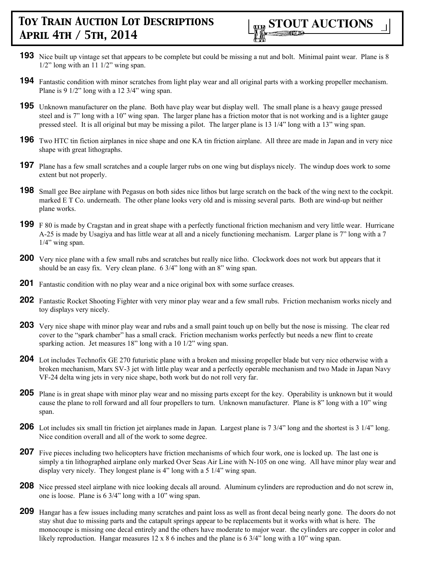- **193** Nice built up vintage set that appears to be complete but could be missing a nut and bolt. Minimal paint wear. Plane is 8  $1/2$ " long with an 11  $1/2$ " wing span.
- **194** Fantastic condition with minor scratches from light play wear and all original parts with a working propeller mechanism. Plane is 9 1/2" long with a 12 3/4" wing span.
- **195** Unknown manufacturer on the plane. Both have play wear but display well. The small plane is a heavy gauge pressed steel and is 7" long with a 10" wing span. The larger plane has a friction motor that is not working and is a lighter gauge pressed steel. It is all original but may be missing a pilot. The larger plane is 13 1/4" long with a 13" wing span.
- **196** Two HTC tin fiction airplanes in nice shape and one KA tin friction airplane. All three are made in Japan and in very nice shape with great lithographs.
- **197** Plane has a few small scratches and a couple larger rubs on one wing but displays nicely. The windup does work to some extent but not properly.
- **198** Small gee Bee airplane with Pegasus on both sides nice lithos but large scratch on the back of the wing next to the cockpit. marked E T Co. underneath. The other plane looks very old and is missing several parts. Both are wind-up but neither plane works.
- **199** F 80 is made by Cragstan and in great shape with a perfectly functional friction mechanism and very little wear. Hurricane A-25 is made by Usagiya and has little wear at all and a nicely functioning mechanism. Larger plane is 7" long with a 7  $1/4$ " wing span.
- **200** Very nice plane with a few small rubs and scratches but really nice litho. Clockwork does not work but appears that it should be an easy fix. Very clean plane. 6 3/4" long with an 8" wing span.
- **201** Fantastic condition with no play wear and a nice original box with some surface creases.
- **202** Fantastic Rocket Shooting Fighter with very minor play wear and a few small rubs. Friction mechanism works nicely and toy displays very nicely.
- **203** Very nice shape with minor play wear and rubs and a small paint touch up on belly but the nose is missing. The clear red cover to the "spark chamber" has a small crack. Friction mechanism works perfectly but needs a new flint to create sparking action. Jet measures 18" long with a 10 1/2" wing span.
- **204** Lot includes Technofix GE 270 futuristic plane with a broken and missing propeller blade but very nice otherwise with a broken mechanism, Marx SV-3 jet with little play wear and a perfectly operable mechanism and two Made in Japan Navy VF-24 delta wing jets in very nice shape, both work but do not roll very far.
- **205** Plane is in great shape with minor play wear and no missing parts except for the key. Operability is unknown but it would cause the plane to roll forward and all four propellers to turn. Unknown manufacturer. Plane is 8" long with a 10" wing span.
- **206** Lot includes six small tin friction jet airplanes made in Japan. Largest plane is 7 3/4" long and the shortest is 3 1/4" long. Nice condition overall and all of the work to some degree.
- **207** Five pieces including two helicopters have friction mechanisms of which four work, one is locked up. The last one is simply a tin lithographed airplane only marked Over Seas Air Line with N-105 on one wing. All have minor play wear and display very nicely. They longest plane is 4" long with a 5 1/4" wing span.
- **208** Nice pressed steel airplane with nice looking decals all around. Aluminum cylinders are reproduction and do not screw in, one is loose. Plane is 6 3/4" long with a 10" wing span.
- **209** Hangar has a few issues including many scratches and paint loss as well as front decal being nearly gone. The doors do not stay shut due to missing parts and the catapult springs appear to be replacements but it works with what is here. The monocoupe is missing one decal entirely and the others have moderate to major wear. the cylinders are copper in color and likely reproduction. Hangar measures  $12 \times 86$  inches and the plane is  $6 \frac{3}{4}$  long with a 10" wing span.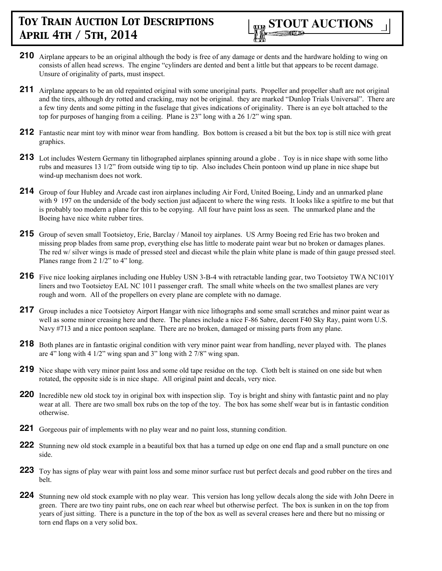

- **210** Airplane appears to be an original although the body is free of any damage or dents and the hardware holding to wing on consists of allen head screws. The engine "cylinders are dented and bent a little but that appears to be recent damage. Unsure of originality of parts, must inspect.
- **211** Airplane appears to be an old repainted original with some unoriginal parts. Propeller and propeller shaft are not original and the tires, although dry rotted and cracking, may not be original. they are marked "Dunlop Trials Universal". There are a few tiny dents and some pitting in the fuselage that gives indications of originality. There is an eye bolt attached to the top for purposes of hanging from a ceiling. Plane is 23" long with a 26 1/2" wing span.
- **212** Fantastic near mint toy with minor wear from handling. Box bottom is creased a bit but the box top is still nice with great graphics.
- **213** Lot includes Western Germany tin lithographed airplanes spinning around a globe . Toy is in nice shape with some litho rubs and measures 13 1/2" from outside wing tip to tip. Also includes Chein pontoon wind up plane in nice shape but wind-up mechanism does not work.
- **214** Group of four Hubley and Arcade cast iron airplanes including Air Ford, United Boeing, Lindy and an unmarked plane with 9 197 on the underside of the body section just adjacent to where the wing rests. It looks like a spitfire to me but that is probably too modern a plane for this to be copying. All four have paint loss as seen. The unmarked plane and the Boeing have nice white rubber tires.
- 215 Group of seven small Tootsietoy, Erie, Barclay / Manoil toy airplanes. US Army Boeing red Erie has two broken and missing prop blades from same prop, everything else has little to moderate paint wear but no broken or damages planes. The red w/ silver wings is made of pressed steel and diecast while the plain white plane is made of thin gauge pressed steel. Planes range from 2 1/2" to 4" long.
- **216** Five nice looking airplanes including one Hubley USN 3-B-4 with retractable landing gear, two Tootsietoy TWA NC101Y liners and two Tootsietoy EAL NC 1011 passenger craft. The small white wheels on the two smallest planes are very rough and worn. All of the propellers on every plane are complete with no damage.
- 217 Group includes a nice Tootsietoy Airport Hangar with nice lithographs and some small scratches and minor paint wear as well as some minor creasing here and there. The planes include a nice F-86 Sabre, decent F40 Sky Ray, paint worn U.S. Navy #713 and a nice pontoon seaplane. There are no broken, damaged or missing parts from any plane.
- **218** Both planes are in fantastic original condition with very minor paint wear from handling, never played with. The planes are 4" long with 4 1/2" wing span and 3" long with 2 7/8" wing span.
- **219** Nice shape with very minor paint loss and some old tape residue on the top. Cloth belt is stained on one side but when rotated, the opposite side is in nice shape. All original paint and decals, very nice.
- **220** Incredible new old stock toy in original box with inspection slip. Toy is bright and shiny with fantastic paint and no play wear at all. There are two small box rubs on the top of the toy. The box has some shelf wear but is in fantastic condition otherwise.
- **221** Gorgeous pair of implements with no play wear and no paint loss, stunning condition.
- **222** Stunning new old stock example in a beautiful box that has a turned up edge on one end flap and a small puncture on one side.
- **223** Toy has signs of play wear with paint loss and some minor surface rust but perfect decals and good rubber on the tires and belt.
- **224** Stunning new old stock example with no play wear. This version has long yellow decals along the side with John Deere in green. There are two tiny paint rubs, one on each rear wheel but otherwise perfect. The box is sunken in on the top from years of just sitting. There is a puncture in the top of the box as well as several creases here and there but no missing or torn end flaps on a very solid box.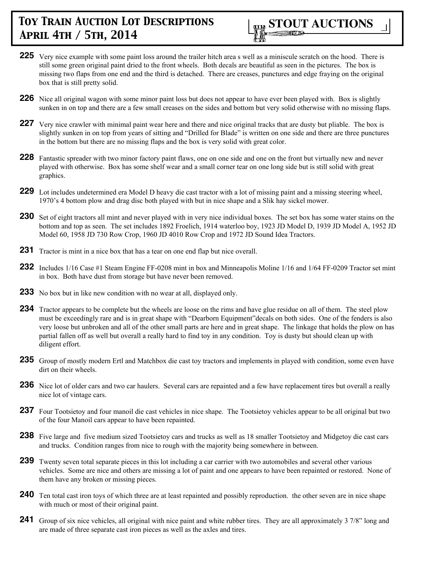

- **225** Very nice example with some paint loss around the trailer hitch area s well as a miniscule scratch on the hood. There is still some green original paint dried to the front wheels. Both decals are beautiful as seen in the pictures. The box is missing two flaps from one end and the third is detached. There are creases, punctures and edge fraying on the original box that is still pretty solid.
- **226** Nice all original wagon with some minor paint loss but does not appear to have ever been played with. Box is slightly sunken in on top and there are a few small creases on the sides and bottom but very solid otherwise with no missing flaps.
- **227** Very nice crawler with minimal paint wear here and there and nice original tracks that are dusty but pliable. The box is slightly sunken in on top from years of sitting and "Drilled for Blade" is written on one side and there are three punctures in the bottom but there are no missing flaps and the box is very solid with great color.
- **228** Fantastic spreader with two minor factory paint flaws, one on one side and one on the front but virtually new and never played with otherwise. Box has some shelf wear and a small corner tear on one long side but is still solid with great graphics.
- **229** Lot includes undetermined era Model D heavy die cast tractor with a lot of missing paint and a missing steering wheel, 1970's 4 bottom plow and drag disc both played with but in nice shape and a Slik hay sickel mower.
- **230** Set of eight tractors all mint and never played with in very nice individual boxes. The set box has some water stains on the bottom and top as seen. The set includes 1892 Froelich, 1914 waterloo boy, 1923 JD Model D, 1939 JD Model A, 1952 JD Model 60, 1958 JD 730 Row Crop, 1960 JD 4010 Row Crop and 1972 JD Sound Idea Tractors.
- **231** Tractor is mint in a nice box that has a tear on one end flap but nice overall.
- **232** Includes 1/16 Case #1 Steam Engine FF-0208 mint in box and Minneapolis Moline 1/16 and 1/64 FF-0209 Tractor set mint in box. Both have dust from storage but have never been removed.
- **233** No box but in like new condition with no wear at all, displayed only.
- **234** Tractor appears to be complete but the wheels are loose on the rims and have glue residue on all of them. The steel plow must be exceedingly rare and is in great shape with "Dearborn Equipment"decals on both sides. One of the fenders is also very loose but unbroken and all of the other small parts are here and in great shape. The linkage that holds the plow on has partial fallen off as well but overall a really hard to find toy in any condition. Toy is dusty but should clean up with diligent effort.
- **235** Group of mostly modern Ertl and Matchbox die cast toy tractors and implements in played with condition, some even have dirt on their wheels.
- **236** Nice lot of older cars and two car haulers. Several cars are repainted and a few have replacement tires but overall a really nice lot of vintage cars.
- **237** Four Tootsietoy and four manoil die cast vehicles in nice shape. The Tootsietoy vehicles appear to be all original but two of the four Manoil cars appear to have been repainted.
- **238** Five large and five medium sized Tootsietoy cars and trucks as well as 18 smaller Tootsietoy and Midgetoy die cast cars and trucks. Condition ranges from nice to rough with the majority being somewhere in between.
- **239** Twenty seven total separate pieces in this lot including a car carrier with two automobiles and several other various vehicles. Some are nice and others are missing a lot of paint and one appears to have been repainted or restored. None of them have any broken or missing pieces.
- **240** Ten total cast iron toys of which three are at least repainted and possibly reproduction. the other seven are in nice shape with much or most of their original paint.
- **241** Group of six nice vehicles, all original with nice paint and white rubber tires. They are all approximately 3 7/8" long and are made of three separate cast iron pieces as well as the axles and tires.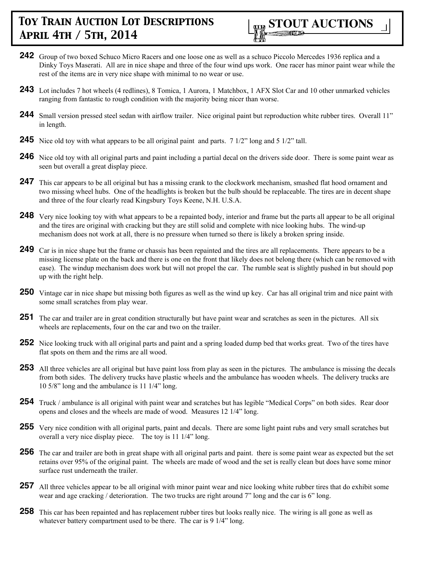

- **242** Group of two boxed Schuco Micro Racers and one loose one as well as a schuco Piccolo Mercedes 1936 replica and a Dinky Toys Maserati. All are in nice shape and three of the four wind ups work. One racer has minor paint wear while the rest of the items are in very nice shape with minimal to no wear or use.
- **243** Lot includes 7 hot wheels (4 redlines), 8 Tomica, 1 Aurora, 1 Matchbox, 1 AFX Slot Car and 10 other unmarked vehicles ranging from fantastic to rough condition with the majority being nicer than worse.
- **244** Small version pressed steel sedan with airflow trailer. Nice original paint but reproduction white rubber tires. Overall 11" in length.
- **245** Nice old toy with what appears to be all original paint and parts. 7 1/2" long and 5 1/2" tall.
- **246** Nice old toy with all original parts and paint including a partial decal on the drivers side door. There is some paint wear as seen but overall a great display piece.
- 247 This car appears to be all original but has a missing crank to the clockwork mechanism, smashed flat hood ornament and two missing wheel hubs. One of the headlights is broken but the bulb should be replaceable. The tires are in decent shape and three of the four clearly read Kingsbury Toys Keene, N.H. U.S.A.
- **248** Very nice looking toy with what appears to be a repainted body, interior and frame but the parts all appear to be all original and the tires are original with cracking but they are still solid and complete with nice looking hubs. The wind-up mechanism does not work at all, there is no pressure when turned so there is likely a broken spring inside.
- **249** Car is in nice shape but the frame or chassis has been repainted and the tires are all replacements. There appears to be a missing license plate on the back and there is one on the front that likely does not belong there (which can be removed with ease). The windup mechanism does work but will not propel the car. The rumble seat is slightly pushed in but should pop up with the right help.
- **250** Vintage car in nice shape but missing both figures as well as the wind up key. Car has all original trim and nice paint with some small scratches from play wear.
- **251** The car and trailer are in great condition structurally but have paint wear and scratches as seen in the pictures. All six wheels are replacements, four on the car and two on the trailer.
- **252** Nice looking truck with all original parts and paint and a spring loaded dump bed that works great. Two of the tires have flat spots on them and the rims are all wood.
- **253** All three vehicles are all original but have paint loss from play as seen in the pictures. The ambulance is missing the decals from both sides. The delivery trucks have plastic wheels and the ambulance has wooden wheels. The delivery trucks are 10 5/8" long and the ambulance is 11 1/4" long.
- **254** Truck / ambulance is all original with paint wear and scratches but has legible "Medical Corps" on both sides. Rear door opens and closes and the wheels are made of wood. Measures 12 1/4" long.
- **255** Very nice condition with all original parts, paint and decals. There are some light paint rubs and very small scratches but overall a very nice display piece. The toy is 11 1/4" long.
- **256** The car and trailer are both in great shape with all original parts and paint. there is some paint wear as expected but the set retains over 95% of the original paint. The wheels are made of wood and the set is really clean but does have some minor surface rust underneath the trailer.
- **257** All three vehicles appear to be all original with minor paint wear and nice looking white rubber tires that do exhibit some wear and age cracking / deterioration. The two trucks are right around 7" long and the car is 6" long.
- **258** This car has been repainted and has replacement rubber tires but looks really nice. The wiring is all gone as well as whatever battery compartment used to be there. The car is 9 1/4" long.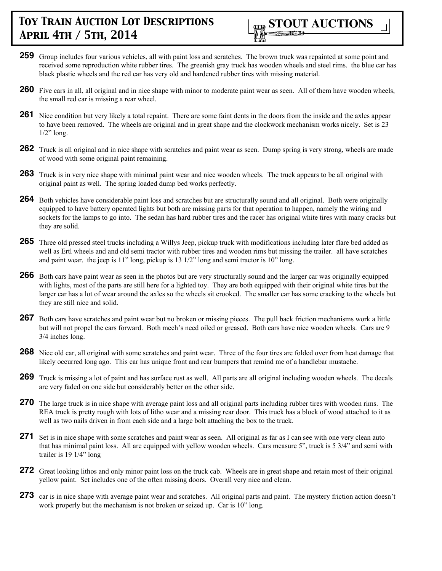

- **259** Group includes four various vehicles, all with paint loss and scratches. The brown truck was repainted at some point and received some reproduction white rubber tires. The greenish gray truck has wooden wheels and steel rims. the blue car has black plastic wheels and the red car has very old and hardened rubber tires with missing material.
- **260** Five cars in all, all original and in nice shape with minor to moderate paint wear as seen. All of them have wooden wheels, the small red car is missing a rear wheel.
- **261** Nice condition but very likely a total repaint. There are some faint dents in the doors from the inside and the axles appear to have been removed. The wheels are original and in great shape and the clockwork mechanism works nicely. Set is 23  $1/2$ " long.
- **262** Truck is all original and in nice shape with scratches and paint wear as seen. Dump spring is very strong, wheels are made of wood with some original paint remaining.
- **263** Truck is in very nice shape with minimal paint wear and nice wooden wheels. The truck appears to be all original with original paint as well. The spring loaded dump bed works perfectly.
- **264** Both vehicles have considerable paint loss and scratches but are structurally sound and all original. Both were originally equipped to have battery operated lights but both are missing parts for that operation to happen, namely the wiring and sockets for the lamps to go into. The sedan has hard rubber tires and the racer has original white tires with many cracks but they are solid.
- **265** Three old pressed steel trucks including a Willys Jeep, pickup truck with modifications including later flare bed added as well as Ertl wheels and and old semi tractor with rubber tires and wooden rims but missing the trailer. all have scratches and paint wear. the jeep is  $11"$  long, pickup is  $13 \frac{1}{2"}$  long and semi tractor is  $10"$  long.
- **266** Both cars have paint wear as seen in the photos but are very structurally sound and the larger car was originally equipped with lights, most of the parts are still here for a lighted toy. They are both equipped with their original white tires but the larger car has a lot of wear around the axles so the wheels sit crooked. The smaller car has some cracking to the wheels but they are still nice and solid.
- **267** Both cars have scratches and paint wear but no broken or missing pieces. The pull back friction mechanisms work a little but will not propel the cars forward. Both mech's need oiled or greased. Both cars have nice wooden wheels. Cars are 9 3/4 inches long.
- **268** Nice old car, all original with some scratches and paint wear. Three of the four tires are folded over from heat damage that likely occurred long ago. This car has unique front and rear bumpers that remind me of a handlebar mustache.
- **269** Truck is missing a lot of paint and has surface rust as well. All parts are all original including wooden wheels. The decals are very faded on one side but considerably better on the other side.
- **270** The large truck is in nice shape with average paint loss and all original parts including rubber tires with wooden rims. The REA truck is pretty rough with lots of litho wear and a missing rear door. This truck has a block of wood attached to it as well as two nails driven in from each side and a large bolt attaching the box to the truck.
- **271** Set is in nice shape with some scratches and paint wear as seen. All original as far as I can see with one very clean auto that has minimal paint loss. All are equipped with yellow wooden wheels. Cars measure 5", truck is 5 3/4" and semi with trailer is 19 1/4" long
- **272** Great looking lithos and only minor paint loss on the truck cab. Wheels are in great shape and retain most of their original yellow paint. Set includes one of the often missing doors. Overall very nice and clean.
- 273 car is in nice shape with average paint wear and scratches. All original parts and paint. The mystery friction action doesn't work properly but the mechanism is not broken or seized up. Car is 10" long.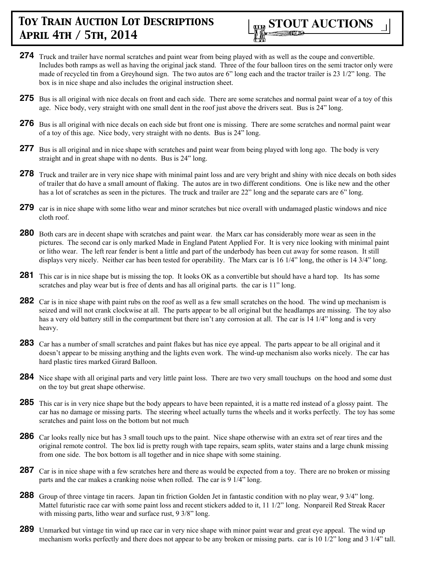

- **274** Truck and trailer have normal scratches and paint wear from being played with as well as the coupe and convertible. Includes both ramps as well as having the original jack stand. Three of the four balloon tires on the semi tractor only were made of recycled tin from a Greyhound sign. The two autos are 6" long each and the tractor trailer is 23 1/2" long. The box is in nice shape and also includes the original instruction sheet.
- **275** Bus is all original with nice decals on front and each side. There are some scratches and normal paint wear of a toy of this age. Nice body, very straight with one small dent in the roof just above the drivers seat. Bus is 24" long.
- **276** Bus is all original with nice decals on each side but front one is missing. There are some scratches and normal paint wear of a toy of this age. Nice body, very straight with no dents. Bus is 24" long.
- **277** Bus is all original and in nice shape with scratches and paint wear from being played with long ago. The body is very straight and in great shape with no dents. Bus is 24" long.
- **278** Truck and trailer are in very nice shape with minimal paint loss and are very bright and shiny with nice decals on both sides of trailer that do have a small amount of flaking. The autos are in two different conditions. One is like new and the other has a lot of scratches as seen in the pictures. The truck and trailer are 22" long and the separate cars are 6" long.
- 279 car is in nice shape with some litho wear and minor scratches but nice overall with undamaged plastic windows and nice cloth roof.
- **280** Both cars are in decent shape with scratches and paint wear. the Marx car has considerably more wear as seen in the pictures. The second car is only marked Made in England Patent Applied For. It is very nice looking with minimal paint or litho wear. The left rear fender is bent a little and part of the underbody has been cut away for some reason. It still displays very nicely. Neither car has been tested for operability. The Marx car is 16 1/4" long, the other is 14 3/4" long.
- **281** This car is in nice shape but is missing the top. It looks OK as a convertible but should have a hard top. Its has some scratches and play wear but is free of dents and has all original parts. the car is 11" long.
- **282** Car is in nice shape with paint rubs on the roof as well as a few small scratches on the hood. The wind up mechanism is seized and will not crank clockwise at all. The parts appear to be all original but the headlamps are missing. The toy also has a very old battery still in the compartment but there isn't any corrosion at all. The car is 14 1/4" long and is very heavy.
- **283** Car has a number of small scratches and paint flakes but has nice eye appeal. The parts appear to be all original and it doesn't appear to be missing anything and the lights even work. The wind-up mechanism also works nicely. The car has hard plastic tires marked Girard Balloon.
- **284** Nice shape with all original parts and very little paint loss. There are two very small touchups on the hood and some dust on the toy but great shape otherwise.
- **285** This car is in very nice shape but the body appears to have been repainted, it is a matte red instead of a glossy paint. The car has no damage or missing parts. The steering wheel actually turns the wheels and it works perfectly. The toy has some scratches and paint loss on the bottom but not much
- **286** Car looks really nice but has 3 small touch ups to the paint. Nice shape otherwise with an extra set of rear tires and the original remote control. The box lid is pretty rough with tape repairs, seam splits, water stains and a large chunk missing from one side. The box bottom is all together and in nice shape with some staining.
- **287** Car is in nice shape with a few scratches here and there as would be expected from a toy. There are no broken or missing parts and the car makes a cranking noise when rolled. The car is 9 1/4" long.
- **288** Group of three vintage tin racers. Japan tin friction Golden Jet in fantastic condition with no play wear, 9 3/4" long. Mattel futuristic race car with some paint loss and recent stickers added to it, 11 1/2" long. Nonpareil Red Streak Racer with missing parts, litho wear and surface rust, 9 3/8" long.
- **289** Unmarked but vintage tin wind up race car in very nice shape with minor paint wear and great eye appeal. The wind up mechanism works perfectly and there does not appear to be any broken or missing parts. car is 10 1/2" long and 3 1/4" tall.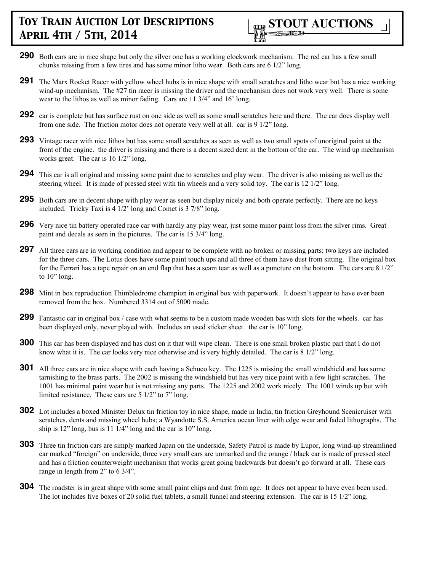

- **290** Both cars are in nice shape but only the silver one has a working clockwork mechanism. The red car has a few small chunks missing from a few tires and has some minor litho wear. Both cars are 6 1/2" long.
- **291** The Marx Rocket Racer with yellow wheel hubs is in nice shape with small scratches and litho wear but has a nice working wind-up mechanism. The #27 tin racer is missing the driver and the mechanism does not work very well. There is some wear to the lithos as well as minor fading. Cars are 11 3/4" and 16' long.
- **292** car is complete but has surface rust on one side as well as some small scratches here and there. The car does display well from one side. The friction motor does not operate very well at all. car is 9 1/2" long.
- **293** Vintage racer with nice lithos but has some small scratches as seen as well as two small spots of unoriginal paint at the front of the engine. the driver is missing and there is a decent sized dent in the bottom of the car. The wind up mechanism works great. The car is 16 1/2" long.
- **294** This car is all original and missing some paint due to scratches and play wear. The driver is also missing as well as the steering wheel. It is made of pressed steel with tin wheels and a very solid toy. The car is 12 1/2" long.
- **295** Both cars are in decent shape with play wear as seen but display nicely and both operate perfectly. There are no keys included. Tricky Taxi is 4 1/2' long and Comet is 3 7/8" long.
- **296** Very nice tin battery operated race car with hardly any play wear, just some minor paint loss from the silver rims. Great paint and decals as seen in the pictures. The car is 15 3/4" long.
- **297** All three cars are in working condition and appear to be complete with no broken or missing parts; two keys are included for the three cars. The Lotus does have some paint touch ups and all three of them have dust from sitting. The original box for the Ferrari has a tape repair on an end flap that has a seam tear as well as a puncture on the bottom. The cars are 8 1/2" to 10" long.
- **298** Mint in box reproduction Thimbledrome champion in original box with paperwork. It doesn't appear to have ever been removed from the box. Numbered 3314 out of 5000 made.
- **299** Fantastic car in original box / case with what seems to be a custom made wooden bas with slots for the wheels. car has been displayed only, never played with. Includes an used sticker sheet. the car is 10" long.
- **300** This car has been displayed and has dust on it that will wipe clean. There is one small broken plastic part that I do not know what it is. The car looks very nice otherwise and is very highly detailed. The car is 8 1/2" long.
- **301** All three cars are in nice shape with each having a Schuco key. The 1225 is missing the small windshield and has some tarnishing to the brass parts. The 2002 is missing the windshield but has very nice paint with a few light scratches. The 1001 has minimal paint wear but is not missing any parts. The 1225 and 2002 work nicely. The 1001 winds up but with limited resistance. These cars are 5 1/2" to 7" long.
- **302** Lot includes a boxed Minister Delux tin friction toy in nice shape, made in India, tin friction Greyhound Scenicruiser with scratches, dents and missing wheel hubs; a Wyandotte S.S. America ocean liner with edge wear and faded lithographs. The ship is 12" long, bus is 11 1/4" long and the car is 10" long.
- **303** Three tin friction cars are simply marked Japan on the underside, Safety Patrol is made by Lupor, long wind-up streamlined car marked "foreign" on underside, three very small cars are unmarked and the orange / black car is made of pressed steel and has a friction counterweight mechanism that works great going backwards but doesn't go forward at all. These cars range in length from 2" to 6 3/4".
- **304** The roadster is in great shape with some small paint chips and dust from age. It does not appear to have even been used. The lot includes five boxes of 20 solid fuel tablets, a small funnel and steering extension. The car is 15 1/2" long.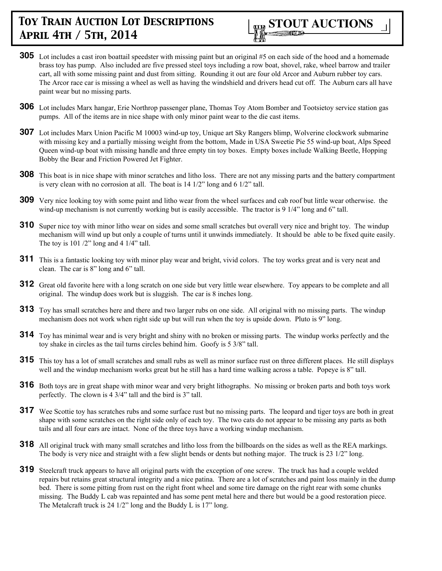

- **305** Lot includes a cast iron boattail speedster with missing paint but an original #5 on each side of the hood and a homemade brass toy has pump. Also included are five pressed steel toys including a row boat, shovel, rake, wheel barrow and trailer cart, all with some missing paint and dust from sitting. Rounding it out are four old Arcor and Auburn rubber toy cars. The Arcor race car is missing a wheel as well as having the windshield and drivers head cut off. The Auburn cars all have paint wear but no missing parts.
- **306** Lot includes Marx hangar, Erie Northrop passenger plane, Thomas Toy Atom Bomber and Tootsietoy service station gas pumps. All of the items are in nice shape with only minor paint wear to the die cast items.
- **307** Lot includes Marx Union Pacific M 10003 wind-up toy, Unique art Sky Rangers blimp, Wolverine clockwork submarine with missing key and a partially missing weight from the bottom, Made in USA Sweetie Pie 55 wind-up boat, Alps Speed Queen wind-up boat with missing handle and three empty tin toy boxes. Empty boxes include Walking Beetle, Hopping Bobby the Bear and Friction Powered Jet Fighter.
- **308** This boat is in nice shape with minor scratches and litho loss. There are not any missing parts and the battery compartment is very clean with no corrosion at all. The boat is 14 1/2" long and 6 1/2" tall.
- **309** Very nice looking toy with some paint and litho wear from the wheel surfaces and cab roof but little wear otherwise. the wind-up mechanism is not currently working but is easily accessible. The tractor is 9 1/4" long and 6" tall.
- **310** Super nice toy with minor litho wear on sides and some small scratches but overall very nice and bright toy. The windup mechanism will wind up but only a couple of turns until it unwinds immediately. It should be able to be fixed quite easily. The toy is  $101 / 2$ " long and  $4 \frac{1}{4}$ " tall.
- **311** This is a fantastic looking toy with minor play wear and bright, vivid colors. The toy works great and is very neat and clean. The car is 8" long and 6" tall.
- **312** Great old favorite here with a long scratch on one side but very little wear elsewhere. Toy appears to be complete and all original. The windup does work but is sluggish. The car is 8 inches long.
- **313** Toy has small scratches here and there and two larger rubs on one side. All original with no missing parts. The windup mechanism does not work when right side up but will run when the toy is upside down. Pluto is 9" long.
- **314** Toy has minimal wear and is very bright and shiny with no broken or missing parts. The windup works perfectly and the toy shake in circles as the tail turns circles behind him. Goofy is 5 3/8" tall.
- **315** This toy has a lot of small scratches and small rubs as well as minor surface rust on three different places. He still displays well and the windup mechanism works great but he still has a hard time walking across a table. Popeye is 8" tall.
- **316** Both toys are in great shape with minor wear and very bright lithographs. No missing or broken parts and both toys work perfectly. The clown is 4 3/4" tall and the bird is 3" tall.
- **317** Wee Scottie tov has scratches rubs and some surface rust but no missing parts. The leopard and tiger toys are both in great shape with some scratches on the right side only of each toy. The two cats do not appear to be missing any parts as both tails and all four ears are intact. None of the three toys have a working windup mechanism.
- **318** All original truck with many small scratches and litho loss from the billboards on the sides as well as the REA markings. The body is very nice and straight with a few slight bends or dents but nothing major. The truck is 23 1/2" long.
- **319** Steelcraft truck appears to have all original parts with the exception of one screw. The truck has had a couple welded repairs but retains great structural integrity and a nice patina. There are a lot of scratches and paint loss mainly in the dump bed. There is some pitting from rust on the right front wheel and some tire damage on the right rear with some chunks missing. The Buddy L cab was repainted and has some pent metal here and there but would be a good restoration piece. The Metalcraft truck is 24 1/2" long and the Buddy L is 17" long.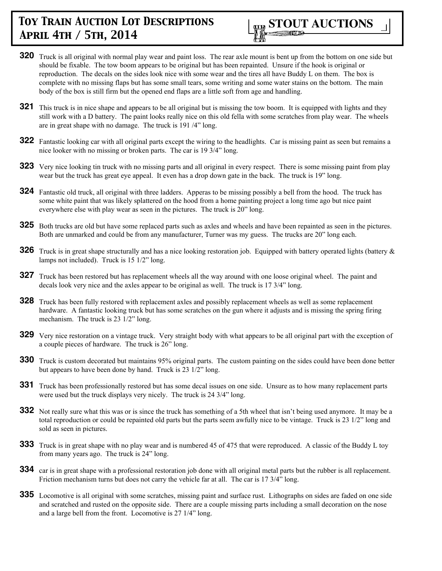

- **320** Truck is all original with normal play wear and paint loss. The rear axle mount is bent up from the bottom on one side but should be fixable. The tow boom appears to be original but has been repainted. Unsure if the hook is original or reproduction. The decals on the sides look nice with some wear and the tires all have Buddy L on them. The box is complete with no missing flaps but has some small tears, some writing and some water stains on the bottom. The main body of the box is still firm but the opened end flaps are a little soft from age and handling.
- **321** This truck is in nice shape and appears to be all original but is missing the tow boom. It is equipped with lights and they still work with a D battery. The paint looks really nice on this old fella with some scratches from play wear. The wheels are in great shape with no damage. The truck is 191 /4" long.
- **322** Fantastic looking car with all original parts except the wiring to the headlights. Car is missing paint as seen but remains a nice looker with no missing or broken parts. The car is 19 3/4" long.
- **323** Very nice looking tin truck with no missing parts and all original in every respect. There is some missing paint from play wear but the truck has great eye appeal. It even has a drop down gate in the back. The truck is 19" long.
- **324** Fantastic old truck, all original with three ladders. Apperas to be missing possibly a bell from the hood. The truck has some white paint that was likely splattered on the hood from a home painting project a long time ago but nice paint everywhere else with play wear as seen in the pictures. The truck is 20" long.
- **325** Both trucks are old but have some replaced parts such as axles and wheels and have been repainted as seen in the pictures. Both are unmarked and could be from any manufacturer, Turner was my guess. The trucks are 20" long each.
- **326** Truck is in great shape structurally and has a nice looking restoration job. Equipped with battery operated lights (battery  $\&$ lamps not included). Truck is 15 1/2" long.
- **327** Truck has been restored but has replacement wheels all the way around with one loose original wheel. The paint and decals look very nice and the axles appear to be original as well. The truck is 17 3/4" long.
- **328** Truck has been fully restored with replacement axles and possibly replacement wheels as well as some replacement hardware. A fantastic looking truck but has some scratches on the gun where it adjusts and is missing the spring firing mechanism. The truck is 23  $1/2$ " long.
- **329** Very nice restoration on a vintage truck. Very straight body with what appears to be all original part with the exception of a couple pieces of hardware. The truck is 26" long.
- **330** Truck is custom decorated but maintains 95% original parts. The custom painting on the sides could have been done better but appears to have been done by hand. Truck is 23 1/2" long.
- **331** Truck has been professionally restored but has some decal issues on one side. Unsure as to how many replacement parts were used but the truck displays very nicely. The truck is 24 3/4" long.
- **332** Not really sure what this was or is since the truck has something of a 5th wheel that isn't being used anymore. It may be a total reproduction or could be repainted old parts but the parts seem awfully nice to be vintage. Truck is 23 1/2" long and sold as seen in pictures.
- **333** Truck is in great shape with no play wear and is numbered 45 of 475 that were reproduced. A classic of the Buddy L toy from many years ago. The truck is 24" long.
- **334** car is in great shape with a professional restoration job done with all original metal parts but the rubber is all replacement. Friction mechanism turns but does not carry the vehicle far at all. The car is 17 3/4" long.
- **335** Locomotive is all original with some scratches, missing paint and surface rust. Lithographs on sides are faded on one side and scratched and rusted on the opposite side. There are a couple missing parts including a small decoration on the nose and a large bell from the front. Locomotive is 27 1/4" long.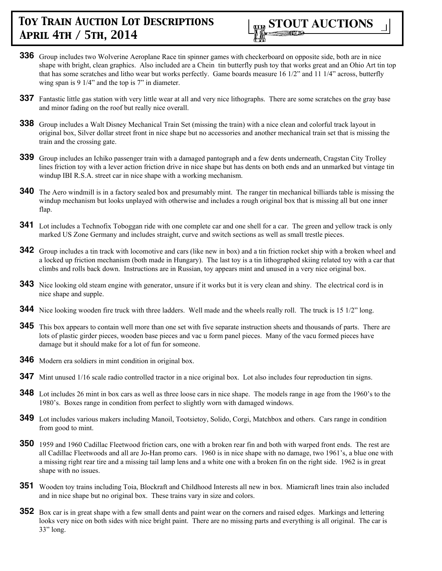

- **336** Group includes two Wolverine Aeroplane Race tin spinner games with checkerboard on opposite side, both are in nice shape with bright, clean graphics. Also included are a Chein tin butterfly push toy that works great and an Ohio Art tin top that has some scratches and litho wear but works perfectly. Game boards measure 16 1/2" and 11 1/4" across, butterfly wing span is 9 1/4" and the top is 7" in diameter.
- **337** Fantastic little gas station with very little wear at all and very nice lithographs. There are some scratches on the gray base and minor fading on the roof but really nice overall.
- **338** Group includes a Walt Disney Mechanical Train Set (missing the train) with a nice clean and colorful track layout in original box, Silver dollar street front in nice shape but no accessories and another mechanical train set that is missing the train and the crossing gate.
- **339** Group includes an Ichiko passenger train with a damaged pantograph and a few dents underneath, Cragstan City Trolley lines friction toy with a lever action friction drive in nice shape but has dents on both ends and an unmarked but vintage tin windup IBI R.S.A. street car in nice shape with a working mechanism.
- **340** The Aero windmill is in a factory sealed box and presumably mint. The ranger tin mechanical billiards table is missing the windup mechanism but looks unplayed with otherwise and includes a rough original box that is missing all but one inner flap.
- **341** Lot includes a Technofix Toboggan ride with one complete car and one shell for a car. The green and yellow track is only marked US Zone Germany and includes straight, curve and switch sections as well as small trestle pieces.
- **342** Group includes a tin track with locomotive and cars (like new in box) and a tin friction rocket ship with a broken wheel and a locked up friction mechanism (both made in Hungary). The last toy is a tin lithographed skiing related toy with a car that climbs and rolls back down. Instructions are in Russian, toy appears mint and unused in a very nice original box.
- **343** Nice looking old steam engine with generator, unsure if it works but it is very clean and shiny. The electrical cord is in nice shape and supple.
- **344** Nice looking wooden fire truck with three ladders. Well made and the wheels really roll. The truck is 15 1/2" long.
- **345** This box appears to contain well more than one set with five separate instruction sheets and thousands of parts. There are lots of plastic girder pieces, wooden base pieces and vac u form panel pieces. Many of the vacu formed pieces have damage but it should make for a lot of fun for someone.
- **346** Modern era soldiers in mint condition in original box.
- **347** Mint unused 1/16 scale radio controlled tractor in a nice original box. Lot also includes four reproduction tin signs.
- **348** Lot includes 26 mint in box cars as well as three loose cars in nice shape. The models range in age from the 1960's to the 1980's. Boxes range in condition from perfect to slightly worn with damaged windows.
- **349** Lot includes various makers including Manoil, Tootsietoy, Solido, Corgi, Matchbox and others. Cars range in condition from good to mint.
- **350** 1959 and 1960 Cadillac Fleetwood friction cars, one with a broken rear fin and both with warped front ends. The rest are all Cadillac Fleetwoods and all are Jo-Han promo cars. 1960 is in nice shape with no damage, two 1961's, a blue one with a missing right rear tire and a missing tail lamp lens and a white one with a broken fin on the right side. 1962 is in great shape with no issues.
- **351** Wooden toy trains including Toia, Blockraft and Childhood Interests all new in box. Miamicraft lines train also included and in nice shape but no original box. These trains vary in size and colors.
- **352** Box car is in great shape with a few small dents and paint wear on the corners and raised edges. Markings and lettering looks very nice on both sides with nice bright paint. There are no missing parts and everything is all original. The car is 33" long.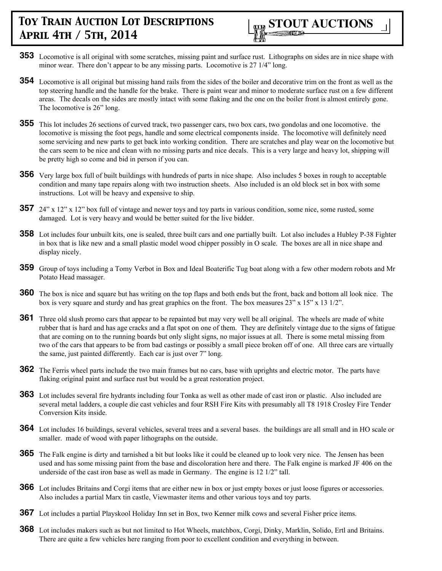

- **353** Locomotive is all original with some scratches, missing paint and surface rust. Lithographs on sides are in nice shape with minor wear. There don't appear to be any missing parts. Locomotive is 27 1/4" long.
- **354** Locomotive is all original but missing hand rails from the sides of the boiler and decorative trim on the front as well as the top steering handle and the handle for the brake. There is paint wear and minor to moderate surface rust on a few different areas. The decals on the sides are mostly intact with some flaking and the one on the boiler front is almost entirely gone. The locomotive is 26" long.
- **355** This lot includes 26 sections of curved track, two passenger cars, two box cars, two gondolas and one locomotive. the locomotive is missing the foot pegs, handle and some electrical components inside. The locomotive will definitely need some servicing and new parts to get back into working condition. There are scratches and play wear on the locomotive but the cars seem to be nice and clean with no missing parts and nice decals. This is a very large and heavy lot, shipping will be pretty high so come and bid in person if you can.
- **356** Very large box full of built buildings with hundreds of parts in nice shape. Also includes 5 boxes in rough to acceptable condition and many tape repairs along with two instruction sheets. Also included is an old block set in box with some instructions. Lot will be heavy and expensive to ship.
- **357** 24" x 12" x 12" box full of vintage and newer toys and toy parts in various condition, some nice, some rusted, some damaged. Lot is very heavy and would be better suited for the live bidder.
- **358** Lot includes four unbuilt kits, one is sealed, three built cars and one partially built. Lot also includes a Hubley P-38 Fighter in box that is like new and a small plastic model wood chipper possibly in O scale. The boxes are all in nice shape and display nicely.
- **359** Group of toys including a Tomy Verbot in Box and Ideal Boaterific Tug boat along with a few other modern robots and Mr Potato Head massager.
- **360** The box is nice and square but has writing on the top flaps and both ends but the front, back and bottom all look nice. The box is very square and sturdy and has great graphics on the front. The box measures  $23'' \times 15'' \times 13 \frac{1}{2}$ .
- **361** Three old slush promo cars that appear to be repainted but may very well be all original. The wheels are made of white rubber that is hard and has age cracks and a flat spot on one of them. They are definitely vintage due to the signs of fatigue that are coming on to the running boards but only slight signs, no major issues at all. There is some metal missing from two of the cars that appears to be from bad castings or possibly a small piece broken off of one. All three cars are virtually the same, just painted differently. Each car is just over 7" long.
- **362** The Ferris wheel parts include the two main frames but no cars, base with uprights and electric motor. The parts have flaking original paint and surface rust but would be a great restoration project.
- **363** Lot includes several fire hydrants including four Tonka as well as other made of cast iron or plastic. Also included are several metal ladders, a couple die cast vehicles and four RSH Fire Kits with presumably all T8 1918 Crosley Fire Tender Conversion Kits inside.
- **364** Lot includes 16 buildings, several vehicles, several trees and a several bases. the buildings are all small and in HO scale or smaller. made of wood with paper lithographs on the outside.
- **365** The Falk engine is dirty and tarnished a bit but looks like it could be cleaned up to look very nice. The Jensen has been used and has some missing paint from the base and discoloration here and there. The Falk engine is marked JF 406 on the underside of the cast iron base as well as made in Germany. The engine is 12 1/2" tall.
- **366** Lot includes Britains and Corgi items that are either new in box or just empty boxes or just loose figures or accessories. Also includes a partial Marx tin castle, Viewmaster items and other various toys and toy parts.
- **367** Lot includes a partial Playskool Holiday Inn set in Box, two Kenner milk cows and several Fisher price items.
- **368** Lot includes makers such as but not limited to Hot Wheels, matchbox, Corgi, Dinky, Marklin, Solido, Ertl and Britains. There are quite a few vehicles here ranging from poor to excellent condition and everything in between.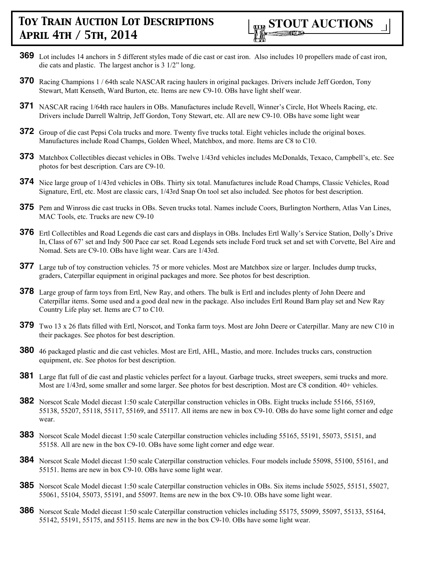

- **369** Lot includes 14 anchors in 5 different styles made of die cast or cast iron. Also includes 10 propellers made of cast iron, die cats and plastic. The largest anchor is 3 1/2" long.
- **370** Racing Champions 1 / 64th scale NASCAR racing haulers in original packages. Drivers include Jeff Gordon, Tony Stewart, Matt Kenseth, Ward Burton, etc. Items are new C9-10. OBs have light shelf wear.
- **371** NASCAR racing 1/64th race haulers in OBs. Manufactures include Revell, Winner's Circle, Hot Wheels Racing, etc. Drivers include Darrell Waltrip, Jeff Gordon, Tony Stewart, etc. All are new C9-10. OBs have some light wear
- **372** Group of die cast Pepsi Cola trucks and more. Twenty five trucks total. Eight vehicles include the original boxes. Manufactures include Road Champs, Golden Wheel, Matchbox, and more. Items are C8 to C10.
- **373** Matchbox Collectibles diecast vehicles in OBs. Twelve 1/43rd vehicles includes McDonalds, Texaco, Campbell's, etc. See photos for best description. Cars are C9-10.
- **374** Nice large group of 1/43rd vehicles in OBs. Thirty six total. Manufactures include Road Champs, Classic Vehicles, Road Signature, Ertl, etc. Most are classic cars, 1/43rd Snap On tool set also included. See photos for best description.
- **375** Pem and Winross die cast trucks in OBs. Seven trucks total. Names include Coors, Burlington Northern, Atlas Van Lines, MAC Tools, etc. Trucks are new C9-10
- **376** Ertl Collectibles and Road Legends die cast cars and displays in OBs. Includes Ertl Wally's Service Station, Dolly's Drive In, Class of 67' set and Indy 500 Pace car set. Road Legends sets include Ford truck set and set with Corvette, Bel Aire and Nomad. Sets are C9-10. OBs have light wear. Cars are 1/43rd.
- **377** Large tub of toy construction vehicles. 75 or more vehicles. Most are Matchbox size or larger. Includes dump trucks, graders, Caterpillar equipment in original packages and more. See photos for best description.
- **378** Large group of farm toys from Ertl, New Ray, and others. The bulk is Ertl and includes plenty of John Deere and Caterpillar items. Some used and a good deal new in the package. Also includes Ertl Round Barn play set and New Ray Country Life play set. Items are C7 to C10.
- **379** Two 13 x 26 flats filled with Ertl, Norscot, and Tonka farm toys. Most are John Deere or Caterpillar. Many are new C10 in their packages. See photos for best description.
- **380** 46 packaged plastic and die cast vehicles. Most are Ertl, AHL, Mastio, and more. Includes trucks cars, construction equipment, etc. See photos for best description.
- **381** Large flat full of die cast and plastic vehicles perfect for a layout. Garbage trucks, street sweepers, semi trucks and more. Most are 1/43rd, some smaller and some larger. See photos for best description. Most are C8 condition. 40+ vehicles.
- **382** Norscot Scale Model diecast 1:50 scale Caterpillar construction vehicles in OBs. Eight trucks include 55166, 55169, 55138, 55207, 55118, 55117, 55169, and 55117. All items are new in box C9-10. OBs do have some light corner and edge wear.
- **383** Norscot Scale Model diecast 1:50 scale Caterpillar construction vehicles including 55165, 55191, 55073, 55151, and 55158. All are new in the box C9-10. OBs have some light corner and edge wear.
- **384** Norscot Scale Model diecast 1:50 scale Caterpillar construction vehicles. Four models include 55098, 55100, 55161, and 55151. Items are new in box C9-10. OBs have some light wear.
- **385** Norscot Scale Model diecast 1:50 scale Caterpillar construction vehicles in OBs. Six items include 55025, 55151, 55027, 55061, 55104, 55073, 55191, and 55097. Items are new in the box C9-10. OBs have some light wear.
- **386** Norscot Scale Model diecast 1:50 scale Caterpillar construction vehicles including 55175, 55099, 55097, 55133, 55164, 55142, 55191, 55175, and 55115. Items are new in the box C9-10. OBs have some light wear.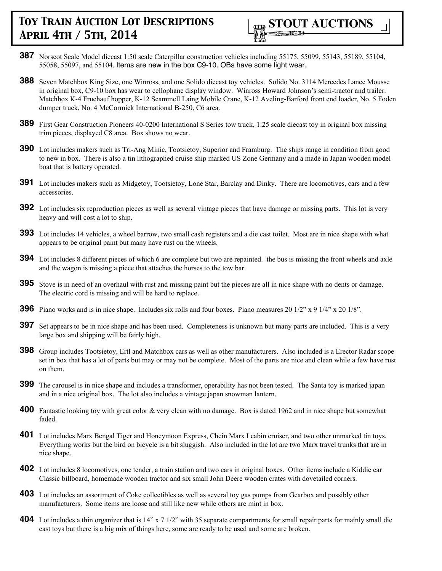

- **387** Norscot Scale Model diecast 1:50 scale Caterpillar construction vehicles including 55175, 55099, 55143, 55189, 55104, 55058, 55097, and 55104. Items are new in the box C9-10. OBs have some light wear.
- **388** Seven Matchbox King Size, one Winross, and one Solido diecast toy vehicles. Solido No. 3114 Mercedes Lance Mousse in original box, C9-10 box has wear to cellophane display window. Winross Howard Johnson's semi-tractor and trailer. Matchbox K-4 Fruehauf hopper, K-12 Scammell Laing Mobile Crane, K-12 Aveling-Barford front end loader, No. 5 Foden dumper truck, No. 4 McCormick International B-250, C6 area.
- **389** First Gear Construction Pioneers 40-0200 International S Series tow truck, 1:25 scale diecast toy in original box missing trim pieces, displayed C8 area. Box shows no wear.
- **390** Lot includes makers such as Tri-Ang Minic, Tootsietoy, Superior and Framburg. The ships range in condition from good to new in box. There is also a tin lithographed cruise ship marked US Zone Germany and a made in Japan wooden model boat that is battery operated.
- **391** Lot includes makers such as Midgetoy, Tootsietoy, Lone Star, Barclay and Dinky. There are locomotives, cars and a few accessories.
- **392** Lot includes six reproduction pieces as well as several vintage pieces that have damage or missing parts. This lot is very heavy and will cost a lot to ship.
- **393** Lot includes 14 vehicles, a wheel barrow, two small cash registers and a die cast toilet. Most are in nice shape with what appears to be original paint but many have rust on the wheels.
- **394** Lot includes 8 different pieces of which 6 are complete but two are repainted. the bus is missing the front wheels and axle and the wagon is missing a piece that attaches the horses to the tow bar.
- **395** Stove is in need of an overhaul with rust and missing paint but the pieces are all in nice shape with no dents or damage. The electric cord is missing and will be hard to replace.
- **396** Piano works and is in nice shape. Includes six rolls and four boxes. Piano measures 20 1/2" x 9 1/4" x 20 1/8".
- **397** Set appears to be in nice shape and has been used. Completeness is unknown but many parts are included. This is a very large box and shipping will be fairly high.
- **398** Group includes Tootsietoy, Ertl and Matchbox cars as well as other manufacturers. Also included is a Erector Radar scope set in box that has a lot of parts but may or may not be complete. Most of the parts are nice and clean while a few have rust on them.
- **399** The carousel is in nice shape and includes a transformer, operability has not been tested. The Santa toy is marked japan and in a nice original box. The lot also includes a vintage japan snowman lantern.
- **400** Fantastic looking toy with great color & very clean with no damage. Box is dated 1962 and in nice shape but somewhat faded.
- **401** Lot includes Marx Bengal Tiger and Honeymoon Express, Chein Marx I cabin cruiser, and two other unmarked tin toys. Everything works but the bird on bicycle is a bit sluggish. Also included in the lot are two Marx travel trunks that are in nice shape.
- **402** Lot includes 8 locomotives, one tender, a train station and two cars in original boxes. Other items include a Kiddie car Classic billboard, homemade wooden tractor and six small John Deere wooden crates with dovetailed corners.
- **403** Lot includes an assortment of Coke collectibles as well as several toy gas pumps from Gearbox and possibly other manufacturers. Some items are loose and still like new while others are mint in box.
- **404** Lot includes a thin organizer that is 14" x 7 1/2" with 35 separate compartments for small repair parts for mainly small die cast toys but there is a big mix of things here, some are ready to be used and some are broken.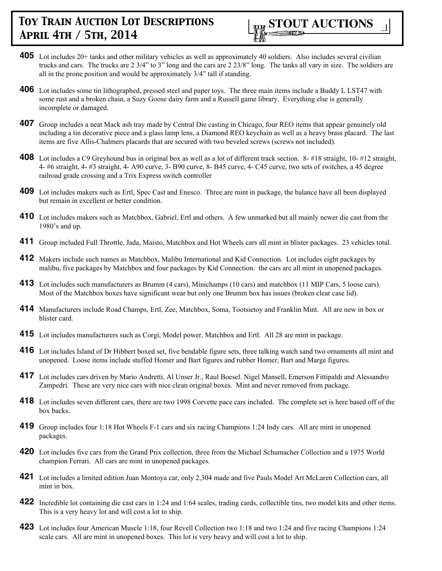

- **405** Lot includes 20+ tanks and other military vehicles as well as approximately 40 soldiers. Also includes several civilian trucks and cars. The trucks are 2 3/4" to 3" long and the cars are 2 23/8" long. The tanks all vary in size. The soldiers are all in the prone position and would be approximately 3/4" tall if standing.
- **406** Lot includes some tin lithographed, pressed steel and paper toys. The three main items include a Buddy L LST47 with some rust and a broken chain, a Suzy Goose dairy farm and a Russell game library. Everything else is generally incomplete or damaged.
- **407** Group includes a neat Mack ash tray made by Central Die casting in Chicago, four REO items that appear genuinely old including a tin decorative piece and a glass lamp lens, a Diamond REO keychain as well as a heavy brass placard. The last items are five Allis-Chalmers placards that are secured with two beveled screws (screws not included).
- **408** Lot includes a C9 Greyhound bus in original box as well as a lot of different track section. 8- #18 straight, 10- #12 straight, 4- #6 straight, 4- #3 straight, 4- A90 curve, 3- B90 curve, 8- B45 curve, 4- C45 curve, two sets of switches, a 45 degree railroad grade crossing and a Trix Express switch controller
- **409** Lot includes makers such as Ertl, Spec Cast and Enesco. Three are mint in package, the balance have all been displayed but remain in excellent or better condition.
- **410** Lot includes makers such as Matchbox, Gabriel, Ertl and others. A few unmarked but all mainly newer die cast from the 1980's and up.
- **411** Group included Full Throttle, Jada, Maisto, Matchbox and Hot Wheels cars all mint in blister packages. 23 vehicles total.
- **412** Makers include such names as Matchbox, Malibu International and Kid Connection. Lot includes eight packages by malibu, five packages by Matchbox and four packages by Kid Connection. the cars are all mint in unopened packages.
- **413** Lot includes such manufacturers as Brumm (4 cars), Minichamps (10 cars) and matchbox (11 MIP Cars, 5 loose cars). Most of the Matchbox boxes have significant wear but only one Brumm box has issues (broken clear case lid).
- **414** Manufacturers include Road Champs, Ertl, Zee, Matchbox, Soma, Tootsietoy and Franklin Mint. All are new in box or blister card.
- **415** Lot includes manufacturers such as Corgi, Model power, Matchbox and Ertl. All 28 are mint in package.
- **416** Lot includes Island of Dr Hibbert boxed set, five bendable figure sets, three talking watch sand two ornaments all mint and unopened. Loose items include stuffed Homer and Bart figures and rubber Homer, Bart and Marge figures.
- 417 Lot includes cars driven by Mario Andretti, Al Unser Jr., Raul Boesel. Nigel Mansell, Emerson Fittipaldi and Alessandro Zampedri. These are very nice cars with nice clean original boxes. Mint and never removed from package.
- **418** Lot includes seven different cars, there are two 1998 Corvette pace cars included. The complete set is here based off of the box backs.
- **419** Group includes four 1:18 Hot Wheels F-1 cars and six racing Champions 1:24 Indy cars. All are mint in unopened packages.
- **420** Lot includes five cars from the Grand Prix collection, three from the Michael Schumacher Collection and a 1975 World champion Ferrari. All cars are mint in unopened packages.
- **421** Lot includes a limited edition Juan Montoya car, only 2,304 made and five Pauls Model Art McLaren Collection cars, all mint in box.
- **422** Incredible lot containing die cast cars in 1:24 and 1:64 scales, trading cards, collectible tins, two model kits and other items. This is a very heavy lot and will cost a lot to ship.
- **423** Lot includes four American Muscle 1:18, four Revell Collection two 1:18 and two 1:24 and five racing Champions 1:24 scale cars. All are mint in unopened boxes. This lot is very heavy and will cost a lot to ship.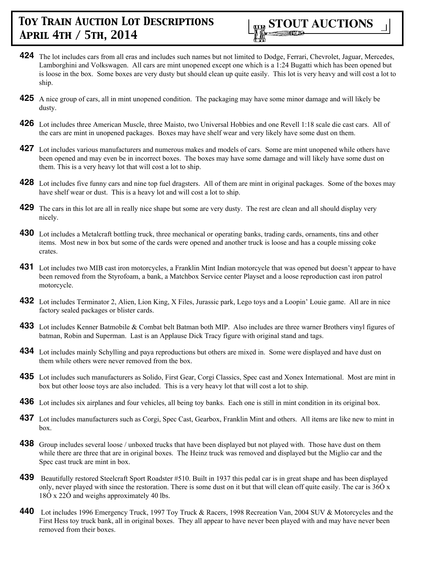

- **424** The lot includes cars from all eras and includes such names but not limited to Dodge, Ferrari, Chevrolet, Jaguar, Mercedes, Lamborghini and Volkswagen. All cars are mint unopened except one which is a 1:24 Bugatti which has been opened but is loose in the box. Some boxes are very dusty but should clean up quite easily. This lot is very heavy and will cost a lot to ship.
- **425** A nice group of cars, all in mint unopened condition. The packaging may have some minor damage and will likely be dusty.
- **426** Lot includes three American Muscle, three Maisto, two Universal Hobbies and one Revell 1:18 scale die cast cars. All of the cars are mint in unopened packages. Boxes may have shelf wear and very likely have some dust on them.
- **427** Lot includes various manufacturers and numerous makes and models of cars. Some are mint unopened while others have been opened and may even be in incorrect boxes. The boxes may have some damage and will likely have some dust on them. This is a very heavy lot that will cost a lot to ship.
- **428** Lot includes five funny cars and nine top fuel dragsters. All of them are mint in original packages. Some of the boxes may have shelf wear or dust. This is a heavy lot and will cost a lot to ship.
- **429** The cars in this lot are all in really nice shape but some are very dusty. The rest are clean and all should display very nicely.
- **430** Lot includes a Metalcraft bottling truck, three mechanical or operating banks, trading cards, ornaments, tins and other items. Most new in box but some of the cards were opened and another truck is loose and has a couple missing coke crates.
- **431** Lot includes two MIB cast iron motorcycles, a Franklin Mint Indian motorcycle that was opened but doesn't appear to have been removed from the Styrofoam, a bank, a Matchbox Service center Playset and a loose reproduction cast iron patrol motorcycle.
- **432** Lot includes Terminator 2, Alien, Lion King, X Files, Jurassic park, Lego toys and a Loopin' Louie game. All are in nice factory sealed packages or blister cards.
- **433** Lot includes Kenner Batmobile & Combat belt Batman both MIP. Also includes are three warner Brothers vinyl figures of batman, Robin and Superman. Last is an Applause Dick Tracy figure with original stand and tags.
- **434** Lot includes mainly Schylling and paya reproductions but others are mixed in. Some were displayed and have dust on them while others were never removed from the box.
- **435** Lot includes such manufacturers as Solido, First Gear, Corgi Classics, Spec cast and Xonex International. Most are mint in box but other loose toys are also included. This is a very heavy lot that will cost a lot to ship.
- **436** Lot includes six airplanes and four vehicles, all being toy banks. Each one is still in mint condition in its original box.
- **437** Lot includes manufacturers such as Corgi, Spec Cast, Gearbox, Franklin Mint and others. All items are like new to mint in box.
- **438** Group includes several loose / unboxed trucks that have been displayed but not played with. Those have dust on them while there are three that are in original boxes. The Heinz truck was removed and displayed but the Miglio car and the Spec cast truck are mint in box.
- **439** Beautifully restored Steelcraft Sport Roadster #510. Built in 1937 this pedal car is in great shape and has been displayed only, never played with since the restoration. There is some dust on it but that will clean off quite easily. The car is  $360 \times$ 18Ó x 22Ó and weighs approximately 40 lbs.
- **440** Lot includes 1996 Emergency Truck, 1997 Toy Truck & Racers, 1998 Recreation Van, 2004 SUV & Motorcycles and the First Hess toy truck bank, all in original boxes. They all appear to have never been played with and may have never been removed from their boxes.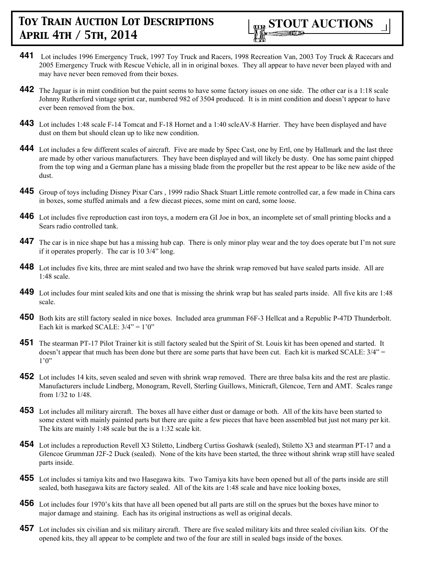

- **441** Lot includes 1996 Emergency Truck, 1997 Toy Truck and Racers, 1998 Recreation Van, 2003 Toy Truck & Racecars and 2005 Emergency Truck with Rescue Vehicle, all in in original boxes. They all appear to have never been played with and may have never been removed from their boxes.
- **442** The Jaguar is in mint condition but the paint seems to have some factory issues on one side. The other car is a 1:18 scale Johnny Rutherford vintage sprint car, numbered 982 of 3504 produced. It is in mint condition and doesn't appear to have ever been removed from the box.
- **443** Lot includes 1:48 scale F-14 Tomcat and F-18 Hornet and a 1:40 scleAV-8 Harrier. They have been displayed and have dust on them but should clean up to like new condition.
- **444** Lot includes a few different scales of aircraft. Five are made by Spec Cast, one by Ertl, one by Hallmark and the last three are made by other various manufacturers. They have been displayed and will likely be dusty. One has some paint chipped from the top wing and a German plane has a missing blade from the propeller but the rest appear to be like new aside of the dust.
- **445** Group of toys including Disney Pixar Cars , 1999 radio Shack Stuart Little remote controlled car, a few made in China cars in boxes, some stuffed animals and a few diecast pieces, some mint on card, some loose.
- **446** Lot includes five reproduction cast iron toys, a modern era GI Joe in box, an incomplete set of small printing blocks and a Sears radio controlled tank.
- **447** The car is in nice shape but has a missing hub cap. There is only minor play wear and the toy does operate but I'm not sure if it operates properly. The car is 10 3/4" long.
- **448** Lot includes five kits, three are mint sealed and two have the shrink wrap removed but have sealed parts inside. All are 1:48 scale.
- **449** Lot includes four mint sealed kits and one that is missing the shrink wrap but has sealed parts inside. All five kits are 1:48 scale.
- **450** Both kits are still factory sealed in nice boxes. Included area grumman F6F-3 Hellcat and a Republic P-47D Thunderbolt. Each kit is marked SCALE:  $3/4$ " = 1'0"
- **451** The stearman PT-17 Pilot Trainer kit is still factory sealed but the Spirit of St. Louis kit has been opened and started. It doesn't appear that much has been done but there are some parts that have been cut. Each kit is marked SCALE:  $3/4$ " =  $1'0''$
- **452** Lot includes 14 kits, seven sealed and seven with shrink wrap removed. There are three balsa kits and the rest are plastic. Manufacturers include Lindberg, Monogram, Revell, Sterling Guillows, Minicraft, Glencoe, Tern and AMT. Scales range from 1/32 to 1/48.
- **453** Lot includes all military aircraft. The boxes all have either dust or damage or both. All of the kits have been started to some extent with mainly painted parts but there are quite a few pieces that have been assembled but just not many per kit. The kits are mainly 1:48 scale but the is a 1:32 scale kit.
- **454** Lot includes a reproduction Revell X3 Stiletto, Lindberg Curtiss Goshawk (sealed), Stiletto X3 and stearman PT-17 and a Glencoe Grumman J2F-2 Duck (sealed). None of the kits have been started, the three without shrink wrap still have sealed parts inside.
- **455** Lot includes si tamiya kits and two Hasegawa kits. Two Tamiya kits have been opened but all of the parts inside are still sealed, both hasegawa kits are factory sealed. All of the kits are 1:48 scale and have nice looking boxes,
- **456** Lot includes four 1970's kits that have all been opened but all parts are still on the sprues but the boxes have minor to major damage and staining. Each has its original instructions as well as original decals.
- **457** Lot includes six civilian and six military aircraft. There are five sealed military kits and three sealed civilian kits. Of the opened kits, they all appear to be complete and two of the four are still in sealed bags inside of the boxes.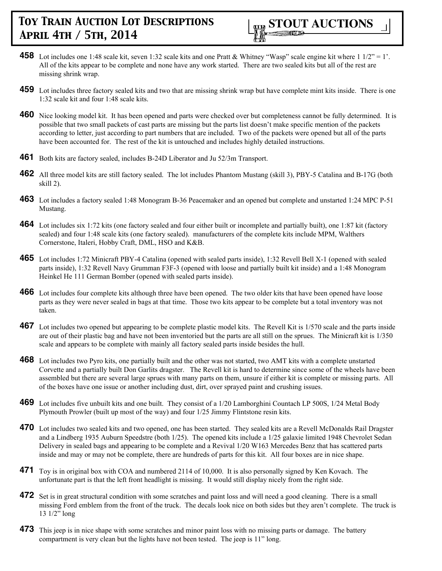

- **458** Lot includes one 1:48 scale kit, seven 1:32 scale kits and one Pratt & Whitney "Wasp" scale engine kit where  $1/2" = 1'$ . All of the kits appear to be complete and none have any work started. There are two sealed kits but all of the rest are missing shrink wrap.
- **459** Lot includes three factory sealed kits and two that are missing shrink wrap but have complete mint kits inside. There is one 1:32 scale kit and four 1:48 scale kits.
- **460** Nice looking model kit. It has been opened and parts were checked over but completeness cannot be fully determined. It is possible that two small packets of cast parts are missing but the parts list doesn't make specific mention of the packets according to letter, just according to part numbers that are included. Two of the packets were opened but all of the parts have been accounted for. The rest of the kit is untouched and includes highly detailed instructions.
- **461** Both kits are factory sealed, includes B-24D Liberator and Ju 52/3m Transport.
- **462** All three model kits are still factory sealed. The lot includes Phantom Mustang (skill 3), PBY-5 Catalina and B-17G (both skill 2).
- **463** Lot includes a factory sealed 1:48 Monogram B-36 Peacemaker and an opened but complete and unstarted 1:24 MPC P-51 Mustang.
- **464** Lot includes six 1:72 kits (one factory sealed and four either built or incomplete and partially built), one 1:87 kit (factory sealed) and four 1:48 scale kits (one factory sealed). manufacturers of the complete kits include MPM, Walthers Cornerstone, Italeri, Hobby Craft, DML, HSO and K&B.
- **465** Lot includes 1:72 Minicraft PBY-4 Catalina (opened with sealed parts inside), 1:32 Revell Bell X-1 (opened with sealed parts inside), 1:32 Revell Navy Grumman F3F-3 (opened with loose and partially built kit inside) and a 1:48 Monogram Heinkel He 111 German Bomber (opened with sealed parts inside).
- **466** Lot includes four complete kits although three have been opened. The two older kits that have been opened have loose parts as they were never sealed in bags at that time. Those two kits appear to be complete but a total inventory was not taken.
- **467** Lot includes two opened but appearing to be complete plastic model kits. The Revell Kit is 1/570 scale and the parts inside are out of their plastic bag and have not been inventoried but the parts are all still on the sprues. The Minicraft kit is 1/350 scale and appears to be complete with mainly all factory sealed parts inside besides the hull.
- **468** Lot includes two Pyro kits, one partially built and the other was not started, two AMT kits with a complete unstarted Corvette and a partially built Don Garlits dragster. The Revell kit is hard to determine since some of the wheels have been assembled but there are several large sprues with many parts on them, unsure if either kit is complete or missing parts. All of the boxes have one issue or another including dust, dirt, over sprayed paint and crushing issues.
- **469** Lot includes five unbuilt kits and one built. They consist of a 1/20 Lamborghini Countach LP 500S, 1/24 Metal Body Plymouth Prowler (built up most of the way) and four 1/25 Jimmy Flintstone resin kits.
- **470** Lot includes two sealed kits and two opened, one has been started. They sealed kits are a Revell McDonalds Rail Dragster and a Lindberg 1935 Auburn Speedstre (both 1/25). The opened kits include a 1/25 galaxie limited 1948 Chevrolet Sedan Delivery in sealed bags and appearing to be complete and a Revival 1/20 W163 Mercedes Benz that has scattered parts inside and may or may not be complete, there are hundreds of parts for this kit. All four boxes are in nice shape.
- **471** Toy is in original box with COA and numbered 2114 of 10,000. It is also personally signed by Ken Kovach. The unfortunate part is that the left front headlight is missing. It would still display nicely from the right side.
- **472** Set is in great structural condition with some scratches and paint loss and will need a good cleaning. There is a small missing Ford emblem from the front of the truck. The decals look nice on both sides but they aren't complete. The truck is 13 1/2" long
- **473** This jeep is in nice shape with some scratches and minor paint loss with no missing parts or damage. The battery compartment is very clean but the lights have not been tested. The jeep is 11" long.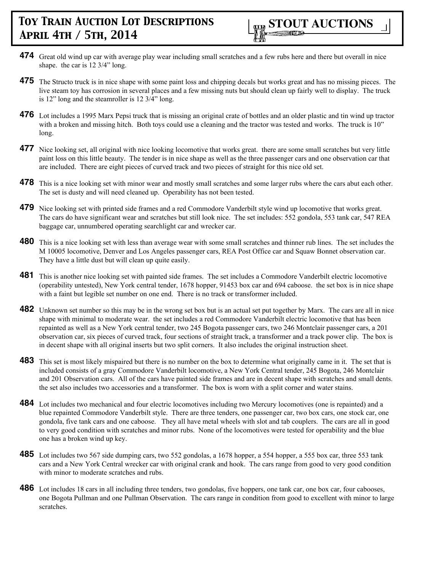

- **474** Great old wind up car with average play wear including small scratches and a few rubs here and there but overall in nice shape. the car is 12 3/4" long.
- **475** The Structo truck is in nice shape with some paint loss and chipping decals but works great and has no missing pieces. The live steam toy has corrosion in several places and a few missing nuts but should clean up fairly well to display. The truck is 12" long and the steamroller is 12 3/4" long.
- **476** Lot includes a 1995 Marx Pepsi truck that is missing an original crate of bottles and an older plastic and tin wind up tractor with a broken and missing hitch. Both toys could use a cleaning and the tractor was tested and works. The truck is 10" long.
- **477** Nice looking set, all original with nice looking locomotive that works great. there are some small scratches but very little paint loss on this little beauty. The tender is in nice shape as well as the three passenger cars and one observation car that are included. There are eight pieces of curved track and two pieces of straight for this nice old set.
- **478** This is a nice looking set with minor wear and mostly small scratches and some larger rubs where the cars abut each other. The set is dusty and will need cleaned up. Operability has not been tested.
- **479** Nice looking set with printed side frames and a red Commodore Vanderbilt style wind up locomotive that works great. The cars do have significant wear and scratches but still look nice. The set includes: 552 gondola, 553 tank car, 547 REA baggage car, unnumbered operating searchlight car and wrecker car.
- **480** This is a nice looking set with less than average wear with some small scratches and thinner rub lines. The set includes the M 10005 locomotive, Denver and Los Angeles passenger cars, REA Post Office car and Squaw Bonnet observation car. They have a little dust but will clean up quite easily.
- **481** This is another nice looking set with painted side frames. The set includes a Commodore Vanderbilt electric locomotive (operability untested), New York central tender, 1678 hopper, 91453 box car and 694 caboose. the set box is in nice shape with a faint but legible set number on one end. There is no track or transformer included.
- **482** Unknown set number so this may be in the wrong set box but is an actual set put together by Marx. The cars are all in nice shape with minimal to moderate wear. the set includes a red Commodore Vanderbilt electric locomotive that has been repainted as well as a New York central tender, two 245 Bogota passenger cars, two 246 Montclair passenger cars, a 201 observation car, six pieces of curved track, four sections of straight track, a transformer and a track power clip. The box is in decent shape with all original inserts but two split corners. It also includes the original instruction sheet.
- **483** This set is most likely mispaired but there is no number on the box to determine what originally came in it. The set that is included consists of a gray Commodore Vanderbilt locomotive, a New York Central tender, 245 Bogota, 246 Montclair and 201 Observation cars. All of the cars have painted side frames and are in decent shape with scratches and small dents. the set also includes two accessories and a transformer. The box is worn with a split corner and water stains.
- **484** Lot includes two mechanical and four electric locomotives including two Mercury locomotives (one is repainted) and a blue repainted Commodore Vanderbilt style. There are three tenders, one passenger car, two box cars, one stock car, one gondola, five tank cars and one caboose. They all have metal wheels with slot and tab couplers. The cars are all in good to very good condition with scratches and minor rubs. None of the locomotives were tested for operability and the blue one has a broken wind up key.
- **485** Lot includes two 567 side dumping cars, two 552 gondolas, a 1678 hopper, a 554 hopper, a 555 box car, three 553 tank cars and a New York Central wrecker car with original crank and hook. The cars range from good to very good condition with minor to moderate scratches and rubs.
- **486** Lot includes 18 cars in all including three tenders, two gondolas, five hoppers, one tank car, one box car, four cabooses, one Bogota Pullman and one Pullman Observation. The cars range in condition from good to excellent with minor to large scratches.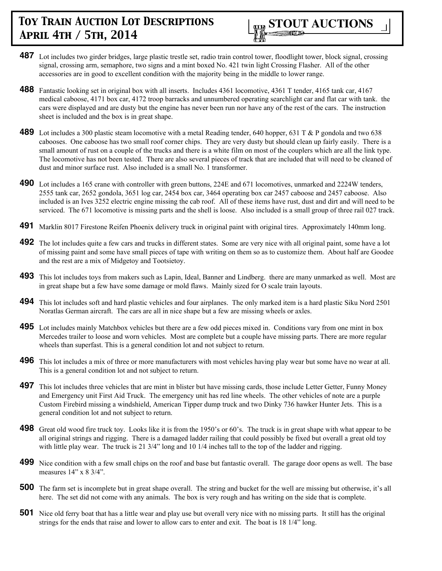- **487** Lot includes two girder bridges, large plastic trestle set, radio train control tower, floodlight tower, block signal, crossing signal, crossing arm, semaphore, two signs and a mint boxed No. 421 twin light Crossing Flasher. All of the other accessories are in good to excellent condition with the majority being in the middle to lower range.
- **488** Fantastic looking set in original box with all inserts. Includes 4361 locomotive, 4361 T tender, 4165 tank car, 4167 medical caboose, 4171 box car, 4172 troop barracks and unnumbered operating searchlight car and flat car with tank. the cars were displayed and are dusty but the engine has never been run nor have any of the rest of the cars. The instruction sheet is included and the box is in great shape.
- **489** Lot includes a 300 plastic steam locomotive with a metal Reading tender, 640 hopper, 631 T & P gondola and two 638 cabooses. One caboose has two small roof corner chips. They are very dusty but should clean up fairly easily. There is a small amount of rust on a couple of the trucks and there is a white film on most of the couplers which are all the link type. The locomotive has not been tested. There are also several pieces of track that are included that will need to be cleaned of dust and minor surface rust. Also included is a small No. 1 transformer.
- **490** Lot includes a 165 crane with controller with green buttons, 224E and 671 locomotives, unmarked and 2224W tenders, 2555 tank car, 2652 gondola, 3651 log car, 2454 box car, 3464 operating box car 2457 caboose and 2457 caboose. Also included is an Ives 3252 electric engine missing the cab roof. All of these items have rust, dust and dirt and will need to be serviced. The 671 locomotive is missing parts and the shell is loose. Also included is a small group of three rail 027 track.
- **491** Marklin 8017 Firestone Reifen Phoenix delivery truck in original paint with original tires. Approximately 140mm long.
- **492** The lot includes quite a few cars and trucks in different states. Some are very nice with all original paint, some have a lot of missing paint and some have small pieces of tape with writing on them so as to customize them. About half are Goodee and the rest are a mix of Midgetoy and Tootsietoy.
- **493** This lot includes toys from makers such as Lapin, Ideal, Banner and Lindberg. there are many unmarked as well. Most are in great shape but a few have some damage or mold flaws. Mainly sized for O scale train layouts.
- **494** This lot includes soft and hard plastic vehicles and four airplanes. The only marked item is a hard plastic Siku Nord 2501 Noratlas German aircraft. The cars are all in nice shape but a few are missing wheels or axles.
- **495** Lot includes mainly Matchbox vehicles but there are a few odd pieces mixed in. Conditions vary from one mint in box Mercedes trailer to loose and worn vehicles. Most are complete but a couple have missing parts. There are more regular wheels than superfast. This is a general condition lot and not subject to return.
- **496** This lot includes a mix of three or more manufacturers with most vehicles having play wear but some have no wear at all. This is a general condition lot and not subject to return.
- **497** This lot includes three vehicles that are mint in blister but have missing cards, those include Letter Getter, Funny Money and Emergency unit First Aid Truck. The emergency unit has red line wheels. The other vehicles of note are a purple Custom Firebird missing a windshield, American Tipper dump truck and two Dinky 736 hawker Hunter Jets. This is a general condition lot and not subject to return.
- **498** Great old wood fire truck toy. Looks like it is from the 1950's or 60's. The truck is in great shape with what appear to be all original strings and rigging. There is a damaged ladder railing that could possibly be fixed but overall a great old toy with little play wear. The truck is 21 3/4" long and 10 1/4 inches tall to the top of the ladder and rigging.
- **499** Nice condition with a few small chips on the roof and base but fantastic overall. The garage door opens as well. The base measures 14" x 8 3/4".
- **500** The farm set is incomplete but in great shape overall. The string and bucket for the well are missing but otherwise, it's all here. The set did not come with any animals. The box is very rough and has writing on the side that is complete.
- **501** Nice old ferry boat that has a little wear and play use but overall very nice with no missing parts. It still has the original strings for the ends that raise and lower to allow cars to enter and exit. The boat is 18 1/4" long.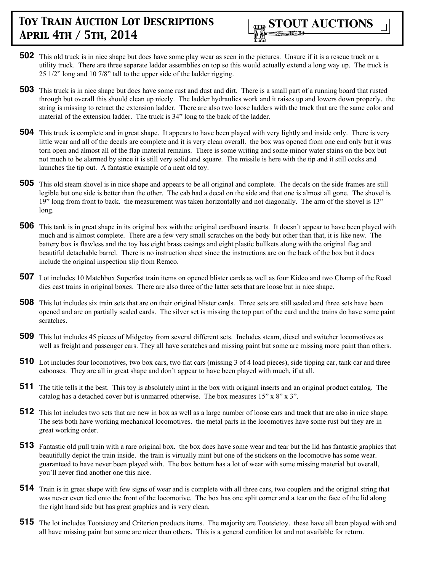- **502** This old truck is in nice shape but does have some play wear as seen in the pictures. Unsure if it is a rescue truck or a utility truck. There are three separate ladder assemblies on top so this would actually extend a long way up. The truck is 25 1/2" long and 10 7/8" tall to the upper side of the ladder rigging.
- **503** This truck is in nice shape but does have some rust and dust and dirt. There is a small part of a running board that rusted through but overall this should clean up nicely. The ladder hydraulics work and it raises up and lowers down properly. the string is missing to retract the extension ladder. There are also two loose ladders with the truck that are the same color and material of the extension ladder. The truck is 34" long to the back of the ladder.
- **504** This truck is complete and in great shape. It appears to have been played with very lightly and inside only. There is very little wear and all of the decals are complete and it is very clean overall. the box was opened from one end only but it was torn open and almost all of the flap material remains. There is some writing and some minor water stains on the box but not much to be alarmed by since it is still very solid and square. The missile is here with the tip and it still cocks and launches the tip out. A fantastic example of a neat old toy.
- **505** This old steam shovel is in nice shape and appears to be all original and complete. The decals on the side frames are still legible but one side is better than the other. The cab had a decal on the side and that one is almost all gone. The shovel is 19" long from front to back. the measurement was taken horizontally and not diagonally. The arm of the shovel is 13" long.
- **506** This tank is in great shape in its original box with the original cardboard inserts. It doesn't appear to have been played with much and is almost complete. There are a few very small scratches on the body but other than that, it is like new. The battery box is flawless and the toy has eight brass casings and eight plastic bullkets along with the original flag and beautiful detachable barrel. There is no instruction sheet since the instructions are on the back of the box but it does include the original inspection slip from Remco.
- **507** Lot includes 10 Matchbox Superfast train items on opened blister cards as well as four Kidco and two Champ of the Road dies cast trains in original boxes. There are also three of the latter sets that are loose but in nice shape.
- **508** This lot includes six train sets that are on their original blister cards. Three sets are still sealed and three sets have been opened and are on partially sealed cards. The silver set is missing the top part of the card and the trains do have some paint scratches.
- **509** This lot includes 45 pieces of Midgetoy from several different sets. Includes steam, diesel and switcher locomotives as well as freight and passenger cars. They all have scratches and missing paint but some are missing more paint than others.
- **510** Lot includes four locomotives, two box cars, two flat cars (missing 3 of 4 load pieces), side tipping car, tank car and three cabooses. They are all in great shape and don't appear to have been played with much, if at all.
- **511** The title tells it the best. This toy is absolutely mint in the box with original inserts and an original product catalog. The catalog has a detached cover but is unmarred otherwise. The box measures 15" x 8" x 3".
- **512** This lot includes two sets that are new in box as well as a large number of loose cars and track that are also in nice shape. The sets both have working mechanical locomotives. the metal parts in the locomotives have some rust but they are in great working order.
- **513** Fantastic old pull train with a rare original box. the box does have some wear and tear but the lid has fantastic graphics that beautifully depict the train inside. the train is virtually mint but one of the stickers on the locomotive has some wear. guaranteed to have never been played with. The box bottom has a lot of wear with some missing material but overall, you'll never find another one this nice.
- **514** Train is in great shape with few signs of wear and is complete with all three cars, two couplers and the original string that was never even tied onto the front of the locomotive. The box has one split corner and a tear on the face of the lid along the right hand side but has great graphics and is very clean.
- **515** The lot includes Tootsietoy and Criterion products items. The majority are Tootsietoy. these have all been played with and all have missing paint but some are nicer than others. This is a general condition lot and not available for return.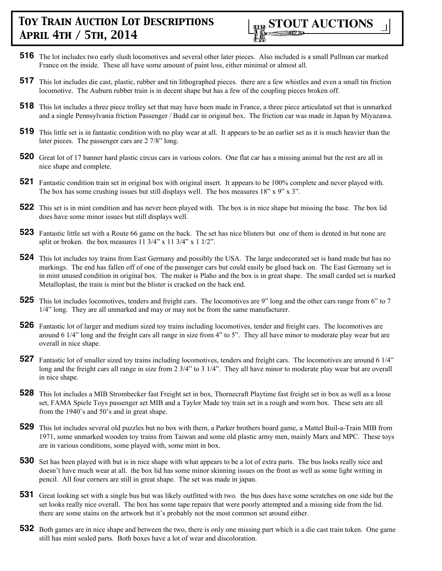

- **516** The lot includes two early slush locomotives and several other later pieces. Also included is a small Pullman car marked France on the inside. These all have some amount of paint loss, either minimal or almost all.
- **517** This lot includes die cast, plastic, rubber and tin lithographed pieces. there are a few whistles and even a small tin friction locomotive. The Auburn rubber train is in decent shape but has a few of the coupling pieces broken off.
- **518** This lot includes a three piece trolley set that may have been made in France, a three piece articulated set that is unmarked and a single Pennsylvania friction Passenger / Budd car in original box. The friction car was made in Japan by Miyazawa.
- **519** This little set is in fantastic condition with no play wear at all. It appears to be an earlier set as it is much heavier than the later pieces. The passenger cars are 2 7/8" long.
- **520** Great lot of 17 banner hard plastic circus cars in various colors. One flat car has a missing animal but the rest are all in nice shape and complete.
- **521** Fantastic condition train set in original box with original insert. It appears to be 100% complete and never played with. The box has some crushing issues but still displays well. The box measures 18" x 9" x 3".
- **522** This set is in mint condition and has never been played with. The box is in nice shape but missing the base. The box lid does have some minor issues but still displays well.
- **523** Fantastic little set with a Route 66 game on the back. The set has nice blisters but one of them is dented in but none are split or broken. the box measures  $11 \frac{3}{4}$ " x  $11 \frac{3}{4}$ " x  $1 \frac{1}{2}$ ".
- **524** This lot includes toy trains from East Germany and possibly the USA. The large undecorated set is hand made but has no markings. The end has fallen off of one of the passenger cars but could easily be glued back on. The East Germany set is in mint unused condition in original box. The maker is Plaho and the box is in great shape. The small carded set is marked Metalloplast, the train is mint but the blister is cracked on the back end.
- **525** This lot includes locomotives, tenders and freight cars. The locomotives are 9" long and the other cars range from 6" to 7 1/4" long. They are all unmarked and may or may not be from the same manufacturer.
- **526** Fantastic lot of larger and medium sized toy trains including locomotives, tender and freight cars. The locomotives are around 6 1/4" long and the freight cars all range in size from 4" to 5". They all have minor to moderate play wear but are overall in nice shape.
- **527** Fantastic lot of smaller sized toy trains including locomotives, tenders and freight cars. The locomotives are around 6 1/4" long and the freight cars all range in size from 2 3/4" to 3 1/4". They all have minor to moderate play wear but are overall in nice shape.
- **528** This lot includes a MIB Strombecker fast Freight set in box, Thornecraft Playtime fast freight set in box as well as a loose set, FAMA Spiele Toys passenger set MIB and a Taylor Made toy train set in a rough and worn box. These sets are all from the 1940's and 50's and in great shape.
- **529** This lot includes several old puzzles but no box with them, a Parker brothers board game, a Mattel Buil-a-Train MIB from 1971, some unmarked wooden toy trains from Taiwan and some old plastic army men, mainly Marx and MPC. These toys are in various conditions, some played with, some mint in box.
- **530** Set has been played with but is in nice shape with what appears to be a lot of extra parts. The bus looks really nice and doesn't have much wear at all. the box lid has some minor skinning issues on the front as well as some light writing in pencil. All four corners are still in great shape. The set was made in japan.
- **531** Great looking set with a single bus but was likely outfitted with two. the bus does have some scratches on one side but the set looks really nice overall. The box has some tape repairs that were poorly attempted and a missing side from the lid. there are some stains on the artwork but it's probably not the most common set around either.
- **532** Both games are in nice shape and between the two, there is only one missing part which is a die cast train token. One game still has mint sealed parts. Both boxes have a lot of wear and discoloration.